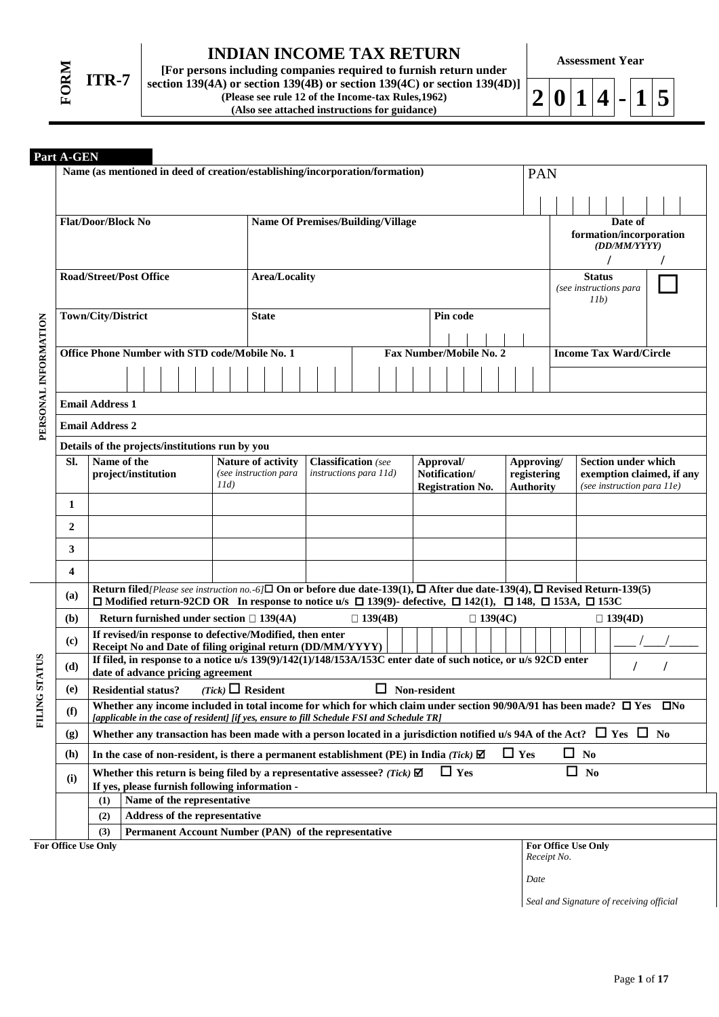

# **INDIAN INCOME TAX RETURN**

**[For persons including companies required to furnish return under section 139(4A) or section 139(4B) or section 139(4C) or section 139(4D)] (Please see rule 12 of the Income-tax Rules,1962) (Also see attached instructions for guidance)**

**Assessment Year**

 $2|0|1|4|$ - $|1|5$ 

## **Part A-GEN**

|                      | Latu a suma            |                                                                                                                                                                                                                                                                  |                               |                                                                   |                                          |  |                         |                                 |            |                                         |                                                         |                               |                |  |  |  |
|----------------------|------------------------|------------------------------------------------------------------------------------------------------------------------------------------------------------------------------------------------------------------------------------------------------------------|-------------------------------|-------------------------------------------------------------------|------------------------------------------|--|-------------------------|---------------------------------|------------|-----------------------------------------|---------------------------------------------------------|-------------------------------|----------------|--|--|--|
|                      |                        | Name (as mentioned in deed of creation/establishing/incorporation/formation)                                                                                                                                                                                     |                               |                                                                   |                                          |  |                         |                                 |            | PAN                                     |                                                         |                               |                |  |  |  |
|                      |                        |                                                                                                                                                                                                                                                                  |                               |                                                                   |                                          |  |                         |                                 |            |                                         |                                                         |                               |                |  |  |  |
|                      |                        | <b>Flat/Door/Block No</b>                                                                                                                                                                                                                                        |                               |                                                                   | <b>Name Of Premises/Building/Village</b> |  |                         |                                 |            |                                         | Date of                                                 |                               |                |  |  |  |
|                      |                        |                                                                                                                                                                                                                                                                  |                               |                                                                   |                                          |  |                         |                                 |            |                                         | formation/incorporation<br>(DD/MM/YYYY)                 |                               |                |  |  |  |
|                      |                        |                                                                                                                                                                                                                                                                  |                               |                                                                   |                                          |  |                         |                                 |            |                                         |                                                         |                               |                |  |  |  |
|                      |                        | <b>Road/Street/Post Office</b>                                                                                                                                                                                                                                   | <b>Area/Locality</b>          |                                                                   |                                          |  |                         |                                 |            | <b>Status</b><br>(see instructions para |                                                         |                               |                |  |  |  |
|                      |                        |                                                                                                                                                                                                                                                                  |                               |                                                                   |                                          |  |                         |                                 |            | 11b)                                    |                                                         |                               |                |  |  |  |
|                      |                        | Town/City/District                                                                                                                                                                                                                                               | <b>State</b>                  | Pin code                                                          |                                          |  |                         |                                 |            |                                         |                                                         |                               |                |  |  |  |
|                      |                        |                                                                                                                                                                                                                                                                  |                               |                                                                   |                                          |  |                         |                                 |            |                                         |                                                         |                               |                |  |  |  |
|                      |                        | Office Phone Number with STD code/Mobile No. 1                                                                                                                                                                                                                   |                               |                                                                   |                                          |  | Fax Number/Mobile No. 2 |                                 |            |                                         |                                                         | <b>Income Tax Ward/Circle</b> |                |  |  |  |
|                      |                        |                                                                                                                                                                                                                                                                  |                               |                                                                   |                                          |  |                         |                                 |            |                                         |                                                         |                               |                |  |  |  |
|                      | <b>Email Address 1</b> |                                                                                                                                                                                                                                                                  |                               |                                                                   |                                          |  |                         |                                 |            |                                         |                                                         |                               |                |  |  |  |
| PERSONAL INFORMATION | <b>Email Address 2</b> |                                                                                                                                                                                                                                                                  |                               |                                                                   |                                          |  |                         |                                 |            |                                         |                                                         |                               |                |  |  |  |
|                      |                        | Details of the projects/institutions run by you                                                                                                                                                                                                                  |                               |                                                                   |                                          |  |                         |                                 |            |                                         |                                                         |                               |                |  |  |  |
|                      | SI.                    | Name of the                                                                                                                                                                                                                                                      | Nature of activity            | <b>Classification</b> (see<br>Approval/<br>instructions para 11d) |                                          |  |                         |                                 |            | Approving/                              |                                                         | <b>Section under which</b>    |                |  |  |  |
|                      |                        | project/institution                                                                                                                                                                                                                                              | (see instruction para<br>11d) | Notification/<br><b>Registration No.</b>                          |                                          |  |                         | registering<br><b>Authority</b> |            |                                         | exemption claimed, if any<br>(see instruction para 11e) |                               |                |  |  |  |
|                      | 1                      |                                                                                                                                                                                                                                                                  |                               |                                                                   |                                          |  |                         |                                 |            |                                         |                                                         |                               |                |  |  |  |
|                      | 2                      |                                                                                                                                                                                                                                                                  |                               |                                                                   |                                          |  |                         |                                 |            |                                         |                                                         |                               |                |  |  |  |
|                      | 3                      |                                                                                                                                                                                                                                                                  |                               |                                                                   |                                          |  |                         |                                 |            |                                         |                                                         |                               |                |  |  |  |
|                      | 4                      |                                                                                                                                                                                                                                                                  |                               |                                                                   |                                          |  |                         |                                 |            |                                         |                                                         |                               |                |  |  |  |
|                      | (a)                    | Return filed/Please see instruction no. -6/ $\square$ On or before due date-139(1), $\square$ After due date-139(4), $\square$ Revised Return-139(5)<br>□ Modified return-92CD OR In response to notice u/s □ 139(9)- defective, □ 142(1), □ 148, □ 153A, □ 153C |                               |                                                                   |                                          |  |                         |                                 |            |                                         |                                                         |                               |                |  |  |  |
|                      | (b)                    | Return furnished under section $\Box$ 139(4A)                                                                                                                                                                                                                    |                               |                                                                   | $\Box$ 139(4B)                           |  |                         | $\Box$ 139(4C)                  |            |                                         |                                                         |                               | $\Box$ 139(4D) |  |  |  |
|                      | (c)                    | If revised/in response to defective/Modified, then enter                                                                                                                                                                                                         |                               |                                                                   |                                          |  |                         |                                 |            |                                         |                                                         |                               |                |  |  |  |
|                      |                        | Receipt No and Date of filing original return (DD/MM/YYYY)<br>If filed, in response to a notice u/s 139(9)/142(1)/148/153A/153C enter date of such notice, or u/s 92CD enter                                                                                     |                               |                                                                   |                                          |  |                         |                                 |            |                                         |                                                         |                               |                |  |  |  |
| STATUS               | (d)                    | date of advance pricing agreement                                                                                                                                                                                                                                |                               |                                                                   |                                          |  |                         |                                 |            |                                         |                                                         |                               |                |  |  |  |
| ٹ                    | (e)                    | <b>Residential status?</b><br>Whether any income included in total income for which for which claim under section 90/90A/91 has been made? $\Box$ Yes $\Box$ No                                                                                                  | $(Tick)$ Resident             |                                                                   | $\Box$ Non-resident                      |  |                         |                                 |            |                                         |                                                         |                               |                |  |  |  |
| FILIN                | (f)                    | [applicable in the case of resident] [if yes, ensure to fill Schedule FSI and Schedule TR]                                                                                                                                                                       |                               |                                                                   |                                          |  |                         |                                 |            |                                         |                                                         |                               |                |  |  |  |
|                      | (g)                    | Whether any transaction has been made with a person located in a jurisdiction notified u/s 94A of the Act? $\Box$ Yes $\Box$ No                                                                                                                                  |                               |                                                                   |                                          |  |                         |                                 |            |                                         |                                                         |                               |                |  |  |  |
|                      | (h)                    | In the case of non-resident, is there a permanent establishment (PE) in India (Tick) $\Box$                                                                                                                                                                      |                               |                                                                   |                                          |  |                         |                                 | $\Box$ Yes |                                         |                                                         | $\Box$ No                     |                |  |  |  |
|                      | (i)                    | Whether this return is being filed by a representative assessee? (Tick) $\blacksquare$<br>If yes, please furnish following information -                                                                                                                         |                               |                                                                   |                                          |  | $\Box$ Yes              |                                 |            |                                         | □                                                       | N <sub>0</sub>                |                |  |  |  |
|                      |                        | Name of the representative<br>(1)                                                                                                                                                                                                                                |                               |                                                                   |                                          |  |                         |                                 |            |                                         |                                                         |                               |                |  |  |  |
|                      |                        | Address of the representative<br>(2)                                                                                                                                                                                                                             |                               |                                                                   |                                          |  |                         |                                 |            |                                         |                                                         |                               |                |  |  |  |
|                      |                        | (3)<br>Permanent Account Number (PAN) of the representative                                                                                                                                                                                                      |                               |                                                                   |                                          |  |                         |                                 |            |                                         |                                                         |                               |                |  |  |  |
|                      | For Office Use Only    |                                                                                                                                                                                                                                                                  |                               |                                                                   |                                          |  |                         |                                 |            |                                         | Receipt No.                                             | <b>For Office Use Only</b>    |                |  |  |  |
|                      |                        |                                                                                                                                                                                                                                                                  |                               |                                                                   |                                          |  |                         |                                 |            | Date                                    |                                                         |                               |                |  |  |  |

*Seal and Signature of receiving official*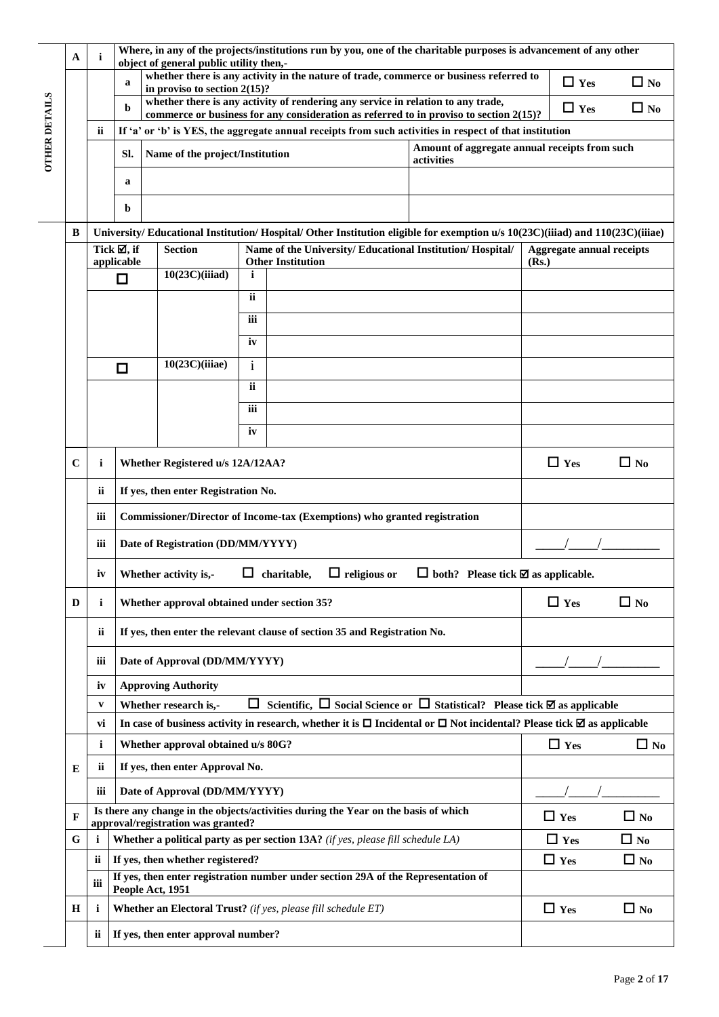|                      | A                                                    | i                                       | Where, in any of the projects/institutions run by you, one of the charitable purposes is advancement of any other<br>object of general public utility then,-<br>whether there is any activity in the nature of trade, commerce or business referred to |                                                                                                                           |     |                                                                                        |            |                                                                                                                                                                                                   |                                                                                                                             |                                  |              |  |  |  |
|----------------------|------------------------------------------------------|-----------------------------------------|--------------------------------------------------------------------------------------------------------------------------------------------------------------------------------------------------------------------------------------------------------|---------------------------------------------------------------------------------------------------------------------------|-----|----------------------------------------------------------------------------------------|------------|---------------------------------------------------------------------------------------------------------------------------------------------------------------------------------------------------|-----------------------------------------------------------------------------------------------------------------------------|----------------------------------|--------------|--|--|--|
|                      |                                                      |                                         | a                                                                                                                                                                                                                                                      | in proviso to section $2(15)$ ?                                                                                           |     |                                                                                        |            |                                                                                                                                                                                                   |                                                                                                                             | $\Box$ Yes                       | $\Box$ No    |  |  |  |
|                      |                                                      |                                         | b                                                                                                                                                                                                                                                      |                                                                                                                           |     | whether there is any activity of rendering any service in relation to any trade,       |            |                                                                                                                                                                                                   |                                                                                                                             | $\Box$ Yes                       | $\Box$ No    |  |  |  |
| <b>OTHER DETAILS</b> |                                                      | ii                                      |                                                                                                                                                                                                                                                        |                                                                                                                           |     |                                                                                        |            | commerce or business for any consideration as referred to in proviso to section 2(15)?<br>If 'a' or 'b' is YES, the aggregate annual receipts from such activities in respect of that institution |                                                                                                                             |                                  |              |  |  |  |
|                      |                                                      |                                         | SI.                                                                                                                                                                                                                                                    | Name of the project/Institution                                                                                           |     |                                                                                        |            | Amount of aggregate annual receipts from such                                                                                                                                                     |                                                                                                                             |                                  |              |  |  |  |
|                      |                                                      |                                         |                                                                                                                                                                                                                                                        |                                                                                                                           |     |                                                                                        |            | activities                                                                                                                                                                                        |                                                                                                                             |                                  |              |  |  |  |
|                      |                                                      |                                         | a                                                                                                                                                                                                                                                      |                                                                                                                           |     |                                                                                        |            |                                                                                                                                                                                                   |                                                                                                                             |                                  |              |  |  |  |
|                      |                                                      |                                         | b                                                                                                                                                                                                                                                      |                                                                                                                           |     |                                                                                        |            |                                                                                                                                                                                                   |                                                                                                                             |                                  |              |  |  |  |
|                      | B                                                    |                                         |                                                                                                                                                                                                                                                        |                                                                                                                           |     |                                                                                        |            |                                                                                                                                                                                                   | University/Educational Institution/Hospital/Other Institution eligible for exemption u/s 10(23C)(iiiad) and 110(23C)(iiiae) |                                  |              |  |  |  |
|                      |                                                      |                                         | Tick $\mathbb Z$ , if<br>applicable                                                                                                                                                                                                                    | <b>Section</b>                                                                                                            |     | Name of the University/ Educational Institution/ Hospital/<br><b>Other Institution</b> |            |                                                                                                                                                                                                   | (Rs.)                                                                                                                       | <b>Aggregate annual receipts</b> |              |  |  |  |
|                      |                                                      |                                         | $\Box$                                                                                                                                                                                                                                                 | 10(23C)(iiiad)                                                                                                            | i   |                                                                                        |            |                                                                                                                                                                                                   |                                                                                                                             |                                  |              |  |  |  |
|                      |                                                      |                                         |                                                                                                                                                                                                                                                        |                                                                                                                           | ii  |                                                                                        |            |                                                                                                                                                                                                   |                                                                                                                             |                                  |              |  |  |  |
|                      |                                                      |                                         |                                                                                                                                                                                                                                                        |                                                                                                                           | iii |                                                                                        |            |                                                                                                                                                                                                   |                                                                                                                             |                                  |              |  |  |  |
|                      | iv                                                   |                                         |                                                                                                                                                                                                                                                        |                                                                                                                           |     |                                                                                        |            |                                                                                                                                                                                                   |                                                                                                                             |                                  |              |  |  |  |
|                      | 10(23C)(iiiae)<br>$\mathbf{i}$<br>□                  |                                         |                                                                                                                                                                                                                                                        |                                                                                                                           |     |                                                                                        |            |                                                                                                                                                                                                   |                                                                                                                             |                                  |              |  |  |  |
|                      |                                                      | ii                                      |                                                                                                                                                                                                                                                        |                                                                                                                           |     |                                                                                        |            |                                                                                                                                                                                                   |                                                                                                                             |                                  |              |  |  |  |
|                      |                                                      | iii                                     |                                                                                                                                                                                                                                                        |                                                                                                                           |     |                                                                                        |            |                                                                                                                                                                                                   |                                                                                                                             |                                  |              |  |  |  |
|                      |                                                      |                                         |                                                                                                                                                                                                                                                        |                                                                                                                           | iv  |                                                                                        |            |                                                                                                                                                                                                   |                                                                                                                             |                                  |              |  |  |  |
|                      |                                                      |                                         |                                                                                                                                                                                                                                                        |                                                                                                                           |     |                                                                                        |            |                                                                                                                                                                                                   |                                                                                                                             |                                  |              |  |  |  |
|                      | $\mathbf C$<br>i<br>Whether Registered u/s 12A/12AA? |                                         |                                                                                                                                                                                                                                                        |                                                                                                                           |     |                                                                                        |            |                                                                                                                                                                                                   | $\Box$ Yes                                                                                                                  | $\Box$ No                        |              |  |  |  |
|                      |                                                      | ii                                      |                                                                                                                                                                                                                                                        | If yes, then enter Registration No.                                                                                       |     |                                                                                        |            |                                                                                                                                                                                                   |                                                                                                                             |                                  |              |  |  |  |
|                      |                                                      | iii                                     |                                                                                                                                                                                                                                                        |                                                                                                                           |     | Commissioner/Director of Income-tax (Exemptions) who granted registration              |            |                                                                                                                                                                                                   |                                                                                                                             |                                  |              |  |  |  |
|                      |                                                      | iii                                     |                                                                                                                                                                                                                                                        | Date of Registration (DD/MM/YYYY)                                                                                         |     |                                                                                        |            |                                                                                                                                                                                                   |                                                                                                                             |                                  |              |  |  |  |
|                      |                                                      | iv                                      |                                                                                                                                                                                                                                                        | Whether activity is,-                                                                                                     |     | $\Box$ religious or<br>$\Box$ charitable,                                              |            | $\Box$ both? Please tick $\boxtimes$ as applicable.                                                                                                                                               |                                                                                                                             |                                  |              |  |  |  |
|                      | D                                                    | i                                       |                                                                                                                                                                                                                                                        | Whether approval obtained under section 35?                                                                               |     |                                                                                        |            |                                                                                                                                                                                                   |                                                                                                                             | $\Box$ Yes                       | $\Box$ No    |  |  |  |
|                      |                                                      | ii                                      |                                                                                                                                                                                                                                                        |                                                                                                                           |     | If yes, then enter the relevant clause of section 35 and Registration No.              |            |                                                                                                                                                                                                   |                                                                                                                             |                                  |              |  |  |  |
|                      |                                                      | iii                                     |                                                                                                                                                                                                                                                        | Date of Approval (DD/MM/YYYY)                                                                                             |     |                                                                                        |            |                                                                                                                                                                                                   |                                                                                                                             |                                  |              |  |  |  |
|                      |                                                      | iv                                      |                                                                                                                                                                                                                                                        | <b>Approving Authority</b>                                                                                                |     |                                                                                        |            |                                                                                                                                                                                                   |                                                                                                                             |                                  |              |  |  |  |
|                      |                                                      | V                                       |                                                                                                                                                                                                                                                        | Whether research is,-                                                                                                     | ப   |                                                                                        |            | Scientific, $\Box$ Social Science or $\Box$ Statistical? Please tick $\Box$ as applicable                                                                                                         |                                                                                                                             |                                  |              |  |  |  |
|                      |                                                      | vi                                      |                                                                                                                                                                                                                                                        |                                                                                                                           |     |                                                                                        |            | In case of business activity in research, whether it is $\Box$ Incidental or $\Box$ Not incidental? Please tick $\Box$ as applicable                                                              |                                                                                                                             |                                  |              |  |  |  |
|                      |                                                      | i<br>Whether approval obtained u/s 80G? |                                                                                                                                                                                                                                                        |                                                                                                                           |     |                                                                                        |            |                                                                                                                                                                                                   |                                                                                                                             | $\Box$ Yes                       | $\Box$ No    |  |  |  |
|                      | Е                                                    | ii                                      |                                                                                                                                                                                                                                                        | If yes, then enter Approval No.                                                                                           |     |                                                                                        |            |                                                                                                                                                                                                   |                                                                                                                             |                                  |              |  |  |  |
|                      |                                                      | iii                                     |                                                                                                                                                                                                                                                        | Date of Approval (DD/MM/YYYY)                                                                                             |     |                                                                                        |            |                                                                                                                                                                                                   |                                                                                                                             |                                  |              |  |  |  |
|                      | F                                                    |                                         |                                                                                                                                                                                                                                                        | Is there any change in the objects/activities during the Year on the basis of which<br>approval/registration was granted? |     |                                                                                        | $\Box$ Yes | $\Box$ No                                                                                                                                                                                         |                                                                                                                             |                                  |              |  |  |  |
|                      | G                                                    | i                                       |                                                                                                                                                                                                                                                        |                                                                                                                           |     | Whether a political party as per section 13A? (if yes, please fill schedule LA)        |            |                                                                                                                                                                                                   |                                                                                                                             | $\Box$ Yes                       | $\square$ No |  |  |  |
|                      |                                                      | ii.                                     |                                                                                                                                                                                                                                                        | If yes, then whether registered?                                                                                          |     | If yes, then enter registration number under section 29A of the Representation of      |            |                                                                                                                                                                                                   |                                                                                                                             | $\Box$ Yes                       | $\Box$ No    |  |  |  |
|                      |                                                      | <b>iii</b>                              |                                                                                                                                                                                                                                                        | People Act, 1951                                                                                                          |     |                                                                                        |            |                                                                                                                                                                                                   |                                                                                                                             |                                  |              |  |  |  |
|                      | H                                                    | i                                       |                                                                                                                                                                                                                                                        |                                                                                                                           |     | Whether an Electoral Trust? (if yes, please fill schedule ET)                          |            |                                                                                                                                                                                                   |                                                                                                                             | $\Box$ Yes                       | $\Box$ No    |  |  |  |
|                      |                                                      | ii                                      | If yes, then enter approval number?                                                                                                                                                                                                                    |                                                                                                                           |     |                                                                                        |            |                                                                                                                                                                                                   |                                                                                                                             |                                  |              |  |  |  |

Ļ.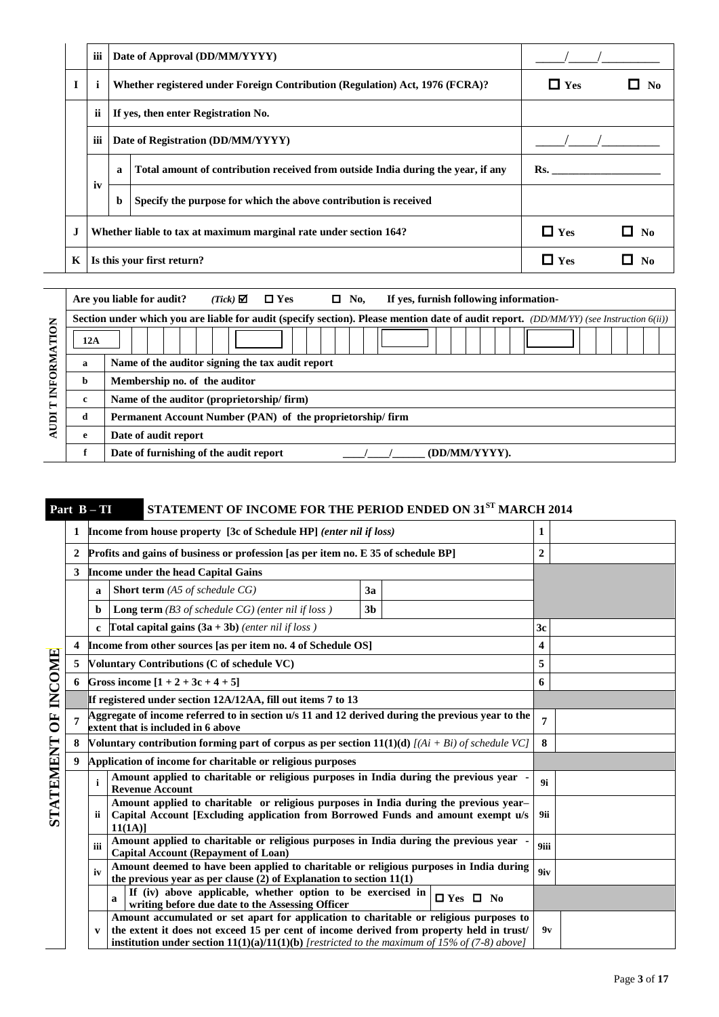|    | iii         |              | Date of Approval (DD/MM/YYYY)                                                    |            |                        |
|----|-------------|--------------|----------------------------------------------------------------------------------|------------|------------------------|
|    | $\mathbf i$ |              | Whether registered under Foreign Contribution (Regulation) Act, 1976 (FCRA)?     | $\Box$ Yes | $\mathbf{N}\mathbf{0}$ |
|    | ii          |              | If yes, then enter Registration No.                                              |            |                        |
|    | iii         |              | Date of Registration (DD/MM/YYYY)                                                |            |                        |
|    |             | $\mathbf{a}$ | Total amount of contribution received from outside India during the year, if any | Rs.        |                        |
|    | iv          | b            | Specify the purpose for which the above contribution is received                 |            |                        |
| J. |             |              | Whether liable to tax at maximum marginal rate under section 164?                | $\Box$ Yes | No                     |
| K  |             |              | Is this your first return?                                                       | $\Box$ Yes | No                     |

|                |     | $(Tick)$ $\Box$<br>Are you liable for audit?<br>$\Box$ Yes<br>$\Box$ No.<br>If yes, furnish following information-                      |  |  |  |  |  |  |  |  |
|----------------|-----|-----------------------------------------------------------------------------------------------------------------------------------------|--|--|--|--|--|--|--|--|
|                |     | Section under which you are liable for audit (specify section). Please mention date of audit report. (DD/MM/YY) (see Instruction 6(ii)) |  |  |  |  |  |  |  |  |
| TION           | 12A |                                                                                                                                         |  |  |  |  |  |  |  |  |
|                | a   | Name of the auditor signing the tax audit report                                                                                        |  |  |  |  |  |  |  |  |
| INFORMA        | b   | Membership no. of the auditor                                                                                                           |  |  |  |  |  |  |  |  |
| $\blacksquare$ | c   | Name of the auditor (proprietorship/firm)                                                                                               |  |  |  |  |  |  |  |  |
| <b>IIII</b>    | đ   | Permanent Account Number (PAN) of the proprietorship/firm                                                                               |  |  |  |  |  |  |  |  |
|                | e   | Date of audit report                                                                                                                    |  |  |  |  |  |  |  |  |
|                |     | Date of furnishing of the audit report<br>(DD/MM/YYYY).                                                                                 |  |  |  |  |  |  |  |  |

# **Part B – TI STATEMENT OF INCOME FOR THE PERIOD ENDED ON 31ST MARCH 2014**

|                  |                |                                                                     | <b>Income from house property</b> [3c of Schedule HP] (enter nil if loss)                                                                                                                                                                                                                  |                |                |                      | 1                |  |
|------------------|----------------|---------------------------------------------------------------------|--------------------------------------------------------------------------------------------------------------------------------------------------------------------------------------------------------------------------------------------------------------------------------------------|----------------|----------------|----------------------|------------------|--|
|                  | 2              |                                                                     | <b>Profits and gains of business or profession [as per item no. E 35 of schedule BP]</b>                                                                                                                                                                                                   |                |                |                      | $\boldsymbol{2}$ |  |
|                  | 3              |                                                                     | <b>Income under the head Capital Gains</b>                                                                                                                                                                                                                                                 |                |                |                      |                  |  |
|                  |                | a                                                                   | <b>Short term</b> (A5 of schedule $CG$ )                                                                                                                                                                                                                                                   | 3a             |                |                      |                  |  |
|                  |                | b                                                                   | <b>Long term</b> (B3 of schedule $CG$ ) (enter nil if loss)                                                                                                                                                                                                                                | 3 <sub>b</sub> |                |                      |                  |  |
|                  |                | Total capital gains $(3a + 3b)$ (enter nil if loss)<br>$\mathbf{c}$ |                                                                                                                                                                                                                                                                                            |                |                |                      |                  |  |
|                  | 4              |                                                                     | Income from other sources [as per item no. 4 of Schedule OS]                                                                                                                                                                                                                               |                | 4              |                      |                  |  |
|                  | 5              |                                                                     | Voluntary Contributions (C of schedule VC)                                                                                                                                                                                                                                                 |                | 5              |                      |                  |  |
|                  | 6              |                                                                     | Gross income $[1 + 2 + 3c + 4 + 5]$                                                                                                                                                                                                                                                        |                | 6              |                      |                  |  |
|                  |                |                                                                     | If registered under section 12A/12AA, fill out items 7 to 13                                                                                                                                                                                                                               |                |                |                      |                  |  |
| <b>OF INCOME</b> | $\overline{7}$ |                                                                     | Aggregate of income referred to in section u/s 11 and 12 derived during the previous year to the<br>extent that is included in 6 above                                                                                                                                                     |                | $\overline{7}$ |                      |                  |  |
|                  | 8              |                                                                     | Voluntary contribution forming part of corpus as per section $11(1)(d)$ [(Ai + Bi) of schedule VC]                                                                                                                                                                                         | 8              |                |                      |                  |  |
|                  | 9              |                                                                     | Application of income for charitable or religious purposes                                                                                                                                                                                                                                 |                |                |                      |                  |  |
|                  |                | $\mathbf{i}$                                                        | Amount applied to charitable or religious purposes in India during the previous year<br><b>Revenue Account</b>                                                                                                                                                                             |                |                |                      | 9i               |  |
| <b>STATEMENT</b> |                | ii                                                                  | Amount applied to charitable or religious purposes in India during the previous year-<br>Capital Account [Excluding application from Borrowed Funds and amount exempt u/s<br>$11(1A)$ ]                                                                                                    | 9ii            |                |                      |                  |  |
|                  |                | iii                                                                 | Amount applied to charitable or religious purposes in India during the previous year<br><b>Capital Account (Repayment of Loan)</b>                                                                                                                                                         |                |                |                      | 9iii             |  |
|                  |                | iv                                                                  | Amount deemed to have been applied to charitable or religious purposes in India during<br>the previous year as per clause $(2)$ of Explanation to section $11(1)$                                                                                                                          |                |                |                      | 9iv              |  |
|                  |                |                                                                     | If (iv) above applicable, whether option to be exercised in<br>$\mathbf{a}$<br>writing before due date to the Assessing Officer                                                                                                                                                            |                |                | $\Box$ Yes $\Box$ No |                  |  |
|                  |                | v                                                                   | Amount accumulated or set apart for application to charitable or religious purposes to<br>the extent it does not exceed 15 per cent of income derived from property held in trust/<br><b>institution under section 11(1)(a)/11(1)(b)</b> [restricted to the maximum of 15% of (7-8) above] |                |                |                      | 9v               |  |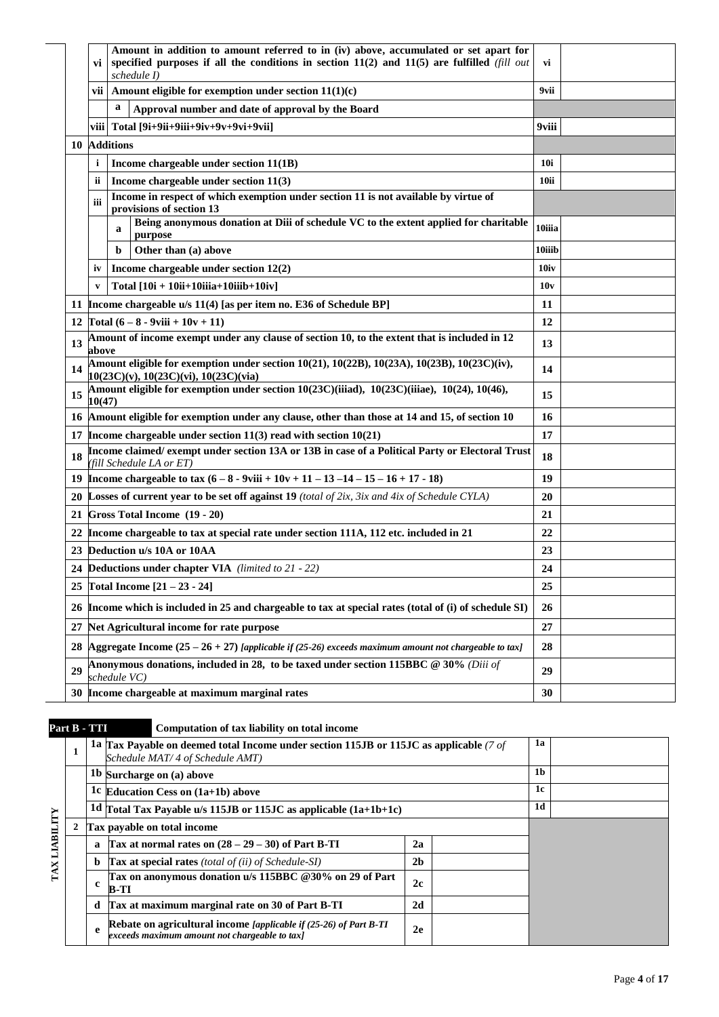| Amount in addition to amount referred to in (iv) above, accumulated or set apart for<br>specified purposes if all the conditions in section $11(2)$ and $11(5)$ are fulfilled (fill out<br>vi<br>schedule I) | vi         |  |
|--------------------------------------------------------------------------------------------------------------------------------------------------------------------------------------------------------------|------------|--|
| vii   Amount eligible for exemption under section $11(1)(c)$                                                                                                                                                 | 9vii       |  |
| a<br>Approval number and date of approval by the Board                                                                                                                                                       |            |  |
| Total [9i+9ii+9iii+9iv+9v+9vi+9vii]<br>viii l                                                                                                                                                                | 9viii      |  |
| 10 Additions                                                                                                                                                                                                 |            |  |
| i<br>Income chargeable under section 11(1B)                                                                                                                                                                  | <b>10i</b> |  |
| Income chargeable under section 11(3)<br>ii.                                                                                                                                                                 | 10ii       |  |
| Income in respect of which exemption under section 11 is not available by virtue of<br>iii<br>provisions of section 13                                                                                       |            |  |
| Being anonymous donation at Diii of schedule VC to the extent applied for charitable<br>a<br>purpose                                                                                                         | 10iiia     |  |
| Other than (a) above<br>b                                                                                                                                                                                    | 10iiib     |  |
| Income chargeable under section 12(2)<br>iv                                                                                                                                                                  | 10iv       |  |
| Total $[10i + 10ii + 10iiia + 10iib + 10iv]$<br>V                                                                                                                                                            | 10v        |  |
| 11 Income chargeable u/s 11(4) [as per item no. E36 of Schedule BP]                                                                                                                                          | 11         |  |
| Total $(6 - 8 - 9$ viii + $10v + 11)$<br>12                                                                                                                                                                  | 12         |  |
| Amount of income exempt under any clause of section 10, to the extent that is included in 12<br>13<br>above                                                                                                  | 13         |  |
| Amount eligible for exemption under section $10(21)$ , $10(22B)$ , $10(23A)$ , $10(23B)$ , $10(23C)(iv)$ ,<br>14<br>$10(23C)(v)$ , $10(23C)(vi)$ , $10(23C)(via)$                                            | 14         |  |
| Amount eligible for exemption under section 10(23C)(iiiad), 10(23C)(iiiae), 10(24), 10(46),<br>15<br>10(47)                                                                                                  | 15         |  |
| Amount eligible for exemption under any clause, other than those at 14 and 15, of section 10<br>16                                                                                                           | 16         |  |
| 17 Income chargeable under section $11(3)$ read with section $10(21)$                                                                                                                                        | 17         |  |
| Income claimed/exempt under section 13A or 13B in case of a Political Party or Electoral Trust<br>18<br>(fill Schedule LA or ET)                                                                             | 18         |  |
| Income chargeable to tax $(6 - 8 - 9$ viii + $10v + 11 - 13 - 14 - 15 - 16 + 17 - 18)$<br>19                                                                                                                 | 19         |  |
| <b>Losses of current year to be set off against 19</b> (total of 2ix, 3ix and 4ix of Schedule CYLA)<br>20                                                                                                    | 20         |  |
| Gross Total Income (19 - 20)<br>21                                                                                                                                                                           | 21         |  |
| Income chargeable to tax at special rate under section 111A, 112 etc. included in 21<br>22                                                                                                                   | 22         |  |
| Deduction u/s 10A or 10AA<br>23                                                                                                                                                                              | 23         |  |
| <b>Deductions under chapter VIA</b> (limited to 21 - 22)<br>24                                                                                                                                               | 24         |  |
| <b>Total Income <math>[21 - 23 - 24]</math></b><br>25                                                                                                                                                        | 25         |  |
| Income which is included in 25 and chargeable to tax at special rates (total of (i) of schedule SI)<br>26                                                                                                    | 26         |  |
| 27<br>Net Agricultural income for rate purpose                                                                                                                                                               | 27         |  |
| Aggregate Income $(25 – 26 + 27)$ [applicable if $(25-26)$ exceeds maximum amount not chargeable to tax]<br>28                                                                                               | 28         |  |
| Anonymous donations, included in 28, to be taxed under section 115BBC @ 30% (Diii of<br>29<br>schedule VC)                                                                                                   | 29         |  |
| Income chargeable at maximum marginal rates<br>30                                                                                                                                                            | 30         |  |

|                  | Part B - TTI |              | Computation of tax liability on total income                                                                              |                |                |    |  |  |  |
|------------------|--------------|--------------|---------------------------------------------------------------------------------------------------------------------------|----------------|----------------|----|--|--|--|
|                  | $\mathbf{1}$ |              | 1a Tax Payable on deemed total Income under section 115JB or 115JC as applicable (7 of<br>Schedule MAT/4 of Schedule AMT) |                | 1a             |    |  |  |  |
|                  |              |              | 1b Surcharge on (a) above                                                                                                 |                |                | 1b |  |  |  |
|                  |              |              | 1c Education Cess on $(1a+1b)$ above                                                                                      |                | 1c             |    |  |  |  |
|                  |              |              | 1d $\Gamma$ otal Tax Payable u/s 115JB or 115JC as applicable $(1a+1b+1c)$                                                |                | 1 <sub>d</sub> |    |  |  |  |
| <b>LIABILITY</b> | 2            |              | Tax payable on total income                                                                                               |                |                |    |  |  |  |
|                  |              | a            | Tax at normal rates on $(28 – 29 – 30)$ of Part B-TI                                                                      | 2a             |                |    |  |  |  |
|                  |              | b            | <b>Tax at special rates</b> (total of (ii) of Schedule-SI)                                                                | 2 <sub>b</sub> |                |    |  |  |  |
| TAX              |              | $\mathbf{c}$ | Tax on anonymous donation u/s 115BBC @30% on 29 of Part<br>$B-TI$                                                         | 2c             |                |    |  |  |  |
|                  |              | d            | Tax at maximum marginal rate on 30 of Part B-TI                                                                           | 2d             |                |    |  |  |  |
|                  |              | e            | Rebate on agricultural income [applicable if (25-26) of Part B-TI<br>exceeds maximum amount not chargeable to tax]        | 2e             |                |    |  |  |  |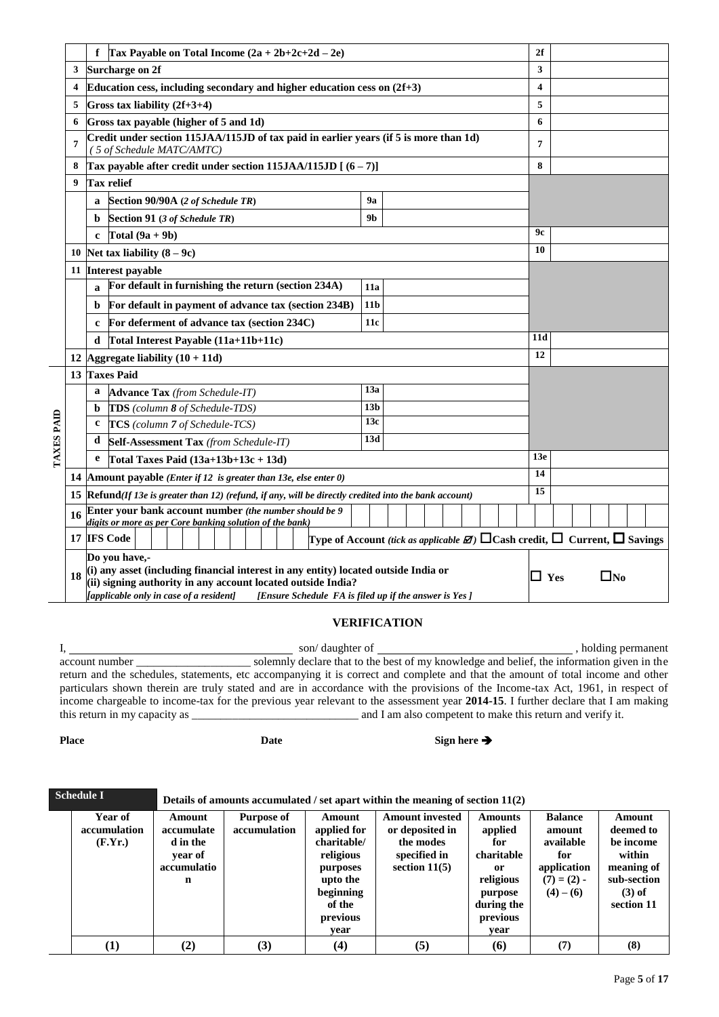|                   |    | f   Tax Payable on Total Income $(2a + 2b+2c+2d - 2e)$                                                                                                                                                                                                                         |                 |                                                                                                      | 2f  |  |
|-------------------|----|--------------------------------------------------------------------------------------------------------------------------------------------------------------------------------------------------------------------------------------------------------------------------------|-----------------|------------------------------------------------------------------------------------------------------|-----|--|
|                   | 3  | <b>Surcharge on 2f</b>                                                                                                                                                                                                                                                         |                 |                                                                                                      | 3   |  |
|                   | 4  | Education cess, including secondary and higher education cess on $(2f+3)$                                                                                                                                                                                                      |                 |                                                                                                      | 4   |  |
|                   | 5  | Gross tax liability $(2f+3+4)$                                                                                                                                                                                                                                                 |                 |                                                                                                      | 5   |  |
|                   | 6  | Gross tax payable (higher of 5 and 1d)                                                                                                                                                                                                                                         |                 |                                                                                                      | 6   |  |
|                   | 7  | Credit under section 115JAA/115JD of tax paid in earlier years (if 5 is more than 1d)<br>(5 of Schedule MATC/AMTC)                                                                                                                                                             |                 |                                                                                                      | 7   |  |
|                   | 8  | Tax payable after credit under section $115JAA/115JD$ [ $(6-7)$ ]                                                                                                                                                                                                              |                 |                                                                                                      | 8   |  |
|                   | 9  | <b>Tax relief</b>                                                                                                                                                                                                                                                              |                 |                                                                                                      |     |  |
|                   |    | Section 90/90A (2 of Schedule TR)<br>a                                                                                                                                                                                                                                         |                 |                                                                                                      |     |  |
|                   |    | Section 91 (3 of Schedule TR)<br>b                                                                                                                                                                                                                                             | 9 <sub>b</sub>  |                                                                                                      |     |  |
|                   |    | Total $(9a + 9b)$<br>c                                                                                                                                                                                                                                                         |                 |                                                                                                      | 9с  |  |
|                   | 10 | Net tax liability $(8-9c)$                                                                                                                                                                                                                                                     |                 |                                                                                                      | 10  |  |
|                   | 11 | Interest payable                                                                                                                                                                                                                                                               |                 |                                                                                                      |     |  |
|                   |    | For default in furnishing the return (section 234A)<br>$\mathbf{a}$                                                                                                                                                                                                            |                 |                                                                                                      |     |  |
|                   |    | For default in payment of advance tax (section 234B)<br>b                                                                                                                                                                                                                      |                 |                                                                                                      |     |  |
|                   |    | For deferment of advance tax (section 234C)<br>c                                                                                                                                                                                                                               |                 |                                                                                                      |     |  |
|                   |    | Total Interest Payable (11a+11b+11c)<br>d                                                                                                                                                                                                                                      |                 |                                                                                                      | 11d |  |
|                   | 12 | Aggregate liability $(10 + 11d)$                                                                                                                                                                                                                                               |                 |                                                                                                      | 12  |  |
|                   |    | 13 Taxes Paid                                                                                                                                                                                                                                                                  |                 |                                                                                                      |     |  |
|                   |    | <b>Advance Tax</b> (from Schedule-IT)<br>a                                                                                                                                                                                                                                     | 13a             |                                                                                                      |     |  |
|                   |    | TDS (column 8 of Schedule-TDS)<br>$\mathbf b$                                                                                                                                                                                                                                  | 13 <sub>b</sub> |                                                                                                      |     |  |
| <b>TAXES PAID</b> |    | TCS (column 7 of Schedule-TCS)<br>c                                                                                                                                                                                                                                            | 13c             |                                                                                                      |     |  |
|                   |    | d<br>Self-Assessment Tax (from Schedule-IT)                                                                                                                                                                                                                                    | 13d             |                                                                                                      |     |  |
|                   |    | e<br>Total Taxes Paid $(13a+13b+13c+13d)$                                                                                                                                                                                                                                      |                 |                                                                                                      | 13e |  |
|                   | 14 | <b>Amount payable</b> ( <i>Enter if 12 is greater than 13e, else enter 0</i> )                                                                                                                                                                                                 |                 |                                                                                                      | 14  |  |
|                   | 15 | $\mathbb R$ efund(If 13e is greater than 12) (refund, if any, will be directly credited into the bank account)                                                                                                                                                                 |                 | 15                                                                                                   |     |  |
|                   | 16 | Enter your bank account number (the number should be 9<br>digits or more as per Core banking solution of the bank)                                                                                                                                                             |                 |                                                                                                      |     |  |
|                   |    | 17 IFS Code                                                                                                                                                                                                                                                                    |                 | Type of Account (tick as applicable $\boxtimes$ ) $\Box$ Cash credit, $\Box$ Current, $\Box$ Savings |     |  |
|                   | 18 | Do vou have.-<br>(i) any asset (including financial interest in any entity) located outside India or<br>(ii) signing authority in any account located outside India?<br><i>applicable only in case of a resident]</i><br>[Ensure Schedule FA is filed up if the answer is Yes] | $\Box$ Yes      | $\square$ No                                                                                         |     |  |

### **VERIFICATION**

I, son/ daughter of , holding permanent account number \_\_\_\_\_\_\_\_\_\_\_\_\_\_\_\_\_\_\_\_ solemnly declare that to the best of my knowledge and belief, the information given in the return and the schedules, statements, etc accompanying it is correct and complete and that the amount of total income and other particulars shown therein are truly stated and are in accordance with the provisions of the Income-tax Act, 1961, in respect of income chargeable to income-tax for the previous year relevant to the assessment year **2014-15**. I further declare that I am making this return in my capacity as \_\_\_\_\_\_\_\_\_\_\_\_\_\_\_\_\_\_\_\_\_\_\_\_\_\_\_\_\_ and I am also competent to make this return and verify it.

**Place Date Date Sign here →** 

| <b>Schedule I</b>                  |                                                                 | Details of amounts accumulated / set apart within the meaning of section $11(2)$ |                                                                                                                      |                                                                                           |                                                                                                                |                                                                                           |                                                                                                   |  |  |  |  |  |  |
|------------------------------------|-----------------------------------------------------------------|----------------------------------------------------------------------------------|----------------------------------------------------------------------------------------------------------------------|-------------------------------------------------------------------------------------------|----------------------------------------------------------------------------------------------------------------|-------------------------------------------------------------------------------------------|---------------------------------------------------------------------------------------------------|--|--|--|--|--|--|
| Year of<br>accumulation<br>(F.Yr.) | Amount<br>accumulate<br>d in the<br>year of<br>accumulatio<br>n | <b>Purpose of</b><br>accumulation                                                | Amount<br>applied for<br>charitable/<br>religious<br>purposes<br>upto the<br>beginning<br>of the<br>previous<br>vear | <b>Amount invested</b><br>or deposited in<br>the modes<br>specified in<br>section $11(5)$ | <b>Amounts</b><br>applied<br>for<br>charitable<br>0r<br>religious<br>purpose<br>during the<br>previous<br>vear | <b>Balance</b><br>amount<br>available<br>for<br>application<br>$(7) = (2) -$<br>$(4)-(6)$ | Amount<br>deemed to<br>be income<br>within<br>meaning of<br>sub-section<br>$(3)$ of<br>section 11 |  |  |  |  |  |  |
| $\bf(1)$                           | (2)                                                             | (3)                                                                              | (4)                                                                                                                  | (5)                                                                                       | (6)                                                                                                            | (7)                                                                                       | (8)                                                                                               |  |  |  |  |  |  |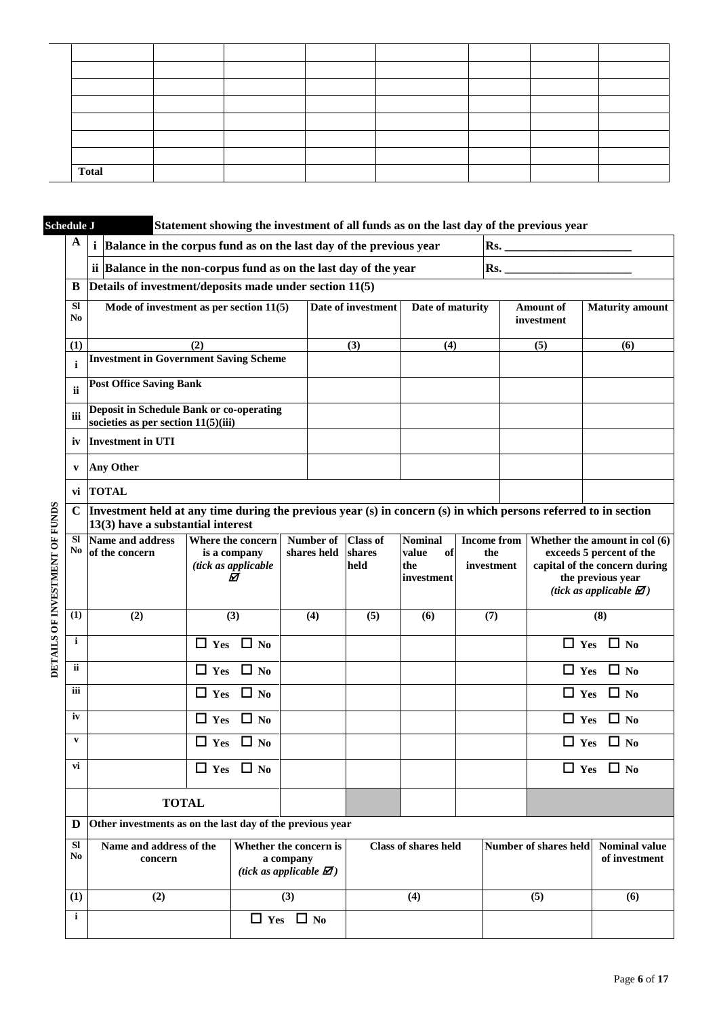| <b>Total</b> |  |  |  |  |
|--------------|--|--|--|--|

|                                | <b>Schedule J</b> |                                                                                                                                                      | Statement showing the investment of all funds as on the last day of the previous year |                                                                                     |                          |                                   |                                                    |  |                                         |                                |                                                                                                                                                                 |
|--------------------------------|-------------------|------------------------------------------------------------------------------------------------------------------------------------------------------|---------------------------------------------------------------------------------------|-------------------------------------------------------------------------------------|--------------------------|-----------------------------------|----------------------------------------------------|--|-----------------------------------------|--------------------------------|-----------------------------------------------------------------------------------------------------------------------------------------------------------------|
|                                | $\mathbf A$       | Balance in the corpus fund as on the last day of the previous year                                                                                   |                                                                                       |                                                                                     |                          |                                   |                                                    |  |                                         | $\overline{\text{Rs.}}$        |                                                                                                                                                                 |
|                                |                   | ii Balance in the non-corpus fund as on the last day of the year                                                                                     |                                                                                       |                                                                                     |                          |                                   |                                                    |  | $\mathbf{Rs.}$                          |                                |                                                                                                                                                                 |
|                                | B                 | Details of investment/deposits made under section 11(5)                                                                                              |                                                                                       |                                                                                     |                          |                                   |                                                    |  |                                         |                                |                                                                                                                                                                 |
|                                | <b>SI</b><br>No   | Mode of investment as per section $11(5)$                                                                                                            |                                                                                       |                                                                                     |                          | Date of investment                | Date of maturity                                   |  |                                         | <b>Amount of</b><br>investment | <b>Maturity</b> amount                                                                                                                                          |
|                                | (1)               |                                                                                                                                                      | (2)                                                                                   |                                                                                     |                          | (3)                               | (4)                                                |  |                                         | (5)                            | (6)                                                                                                                                                             |
|                                | $\mathbf{i}$      | <b>Investment in Government Saving Scheme</b>                                                                                                        |                                                                                       |                                                                                     |                          |                                   |                                                    |  |                                         |                                |                                                                                                                                                                 |
|                                | ii                | <b>Post Office Saving Bank</b>                                                                                                                       |                                                                                       |                                                                                     |                          |                                   |                                                    |  |                                         |                                |                                                                                                                                                                 |
|                                | iii               | <b>Deposit in Schedule Bank or co-operating</b><br>societies as per section $11(5)(iii)$                                                             |                                                                                       |                                                                                     |                          |                                   |                                                    |  |                                         |                                |                                                                                                                                                                 |
|                                | iv                | <b>Investment in UTI</b>                                                                                                                             |                                                                                       |                                                                                     |                          |                                   |                                                    |  |                                         |                                |                                                                                                                                                                 |
|                                | V                 | <b>Any Other</b>                                                                                                                                     |                                                                                       |                                                                                     |                          |                                   |                                                    |  |                                         |                                |                                                                                                                                                                 |
|                                | vi                | <b>TOTAL</b>                                                                                                                                         |                                                                                       |                                                                                     |                          |                                   |                                                    |  |                                         |                                |                                                                                                                                                                 |
|                                | $\mathbf C$       | Investment held at any time during the previous year (s) in concern (s) in which persons referred to in section<br>13(3) have a substantial interest |                                                                                       |                                                                                     |                          |                                   |                                                    |  |                                         |                                |                                                                                                                                                                 |
| DETAILS OF INVESTMENT OF FUNDS | <b>SI</b><br>No   | Name and address<br>of the concern                                                                                                                   | Where the concern<br>is a company<br>(tick as applicable<br>☑                         |                                                                                     | Number of<br>shares held | <b>Class of</b><br>shares<br>held | <b>Nominal</b><br>value<br>of<br>the<br>investment |  | <b>Income from</b><br>the<br>investment |                                | Whether the amount in col (6)<br>exceeds 5 percent of the<br>capital of the concern during<br>the previous year<br>(tick as applicable $\mathbf{\mathcal{D}}$ ) |
|                                | (1)               | (2)                                                                                                                                                  | (3)                                                                                   |                                                                                     | (4)                      | (5)                               | (6)                                                |  | (7)                                     |                                | (8)                                                                                                                                                             |
|                                | $\mathbf{i}$      |                                                                                                                                                      | $\Box$ Yes $\Box$ No                                                                  |                                                                                     |                          |                                   |                                                    |  |                                         |                                | $\Box$ Yes $\Box$ No                                                                                                                                            |
|                                | ii                |                                                                                                                                                      | $\Box$ No<br>$\Box$ Yes                                                               |                                                                                     |                          |                                   |                                                    |  |                                         | $\Box$ Yes                     | $\Box$ No                                                                                                                                                       |
|                                | iii               |                                                                                                                                                      | $\Box$ No<br>$\Box$ Yes                                                               |                                                                                     |                          |                                   |                                                    |  |                                         | $\Box$ Yes                     | $\Box$ No                                                                                                                                                       |
|                                | iv                |                                                                                                                                                      | $\Box$ Yes<br>$\Box$ No                                                               |                                                                                     |                          |                                   |                                                    |  |                                         | $\Box$ Yes                     | $\Box$ No                                                                                                                                                       |
|                                | $\mathbf{v}$      |                                                                                                                                                      | $\Box$ No<br>$\Box$ Yes                                                               |                                                                                     |                          |                                   |                                                    |  |                                         | $\Box$ Yes                     | $\Box$ No                                                                                                                                                       |
|                                | vi                |                                                                                                                                                      | $\Box$ Yes $\Box$ No                                                                  |                                                                                     |                          |                                   |                                                    |  |                                         |                                | $\Box$ Yes $\Box$ No                                                                                                                                            |
|                                |                   | <b>TOTAL</b>                                                                                                                                         |                                                                                       |                                                                                     |                          |                                   |                                                    |  |                                         |                                |                                                                                                                                                                 |
|                                | D                 | Other investments as on the last day of the previous year                                                                                            |                                                                                       |                                                                                     |                          |                                   |                                                    |  |                                         |                                |                                                                                                                                                                 |
|                                | <b>SI</b><br>No   | Name and address of the<br>concern                                                                                                                   |                                                                                       | Whether the concern is<br>a company<br>(tick as applicable $\mathbf{\mathcal{D}}$ ) |                          |                                   | <b>Class of shares held</b>                        |  |                                         | Number of shares held          | <b>Nominal value</b><br>of investment                                                                                                                           |
|                                | (1)               | (2)                                                                                                                                                  |                                                                                       | (3)                                                                                 |                          |                                   | (4)                                                |  |                                         | (5)                            | (6)                                                                                                                                                             |
|                                | $\mathbf{i}$      | $\Box$ Yes $\Box$ No                                                                                                                                 |                                                                                       |                                                                                     |                          |                                   |                                                    |  |                                         |                                |                                                                                                                                                                 |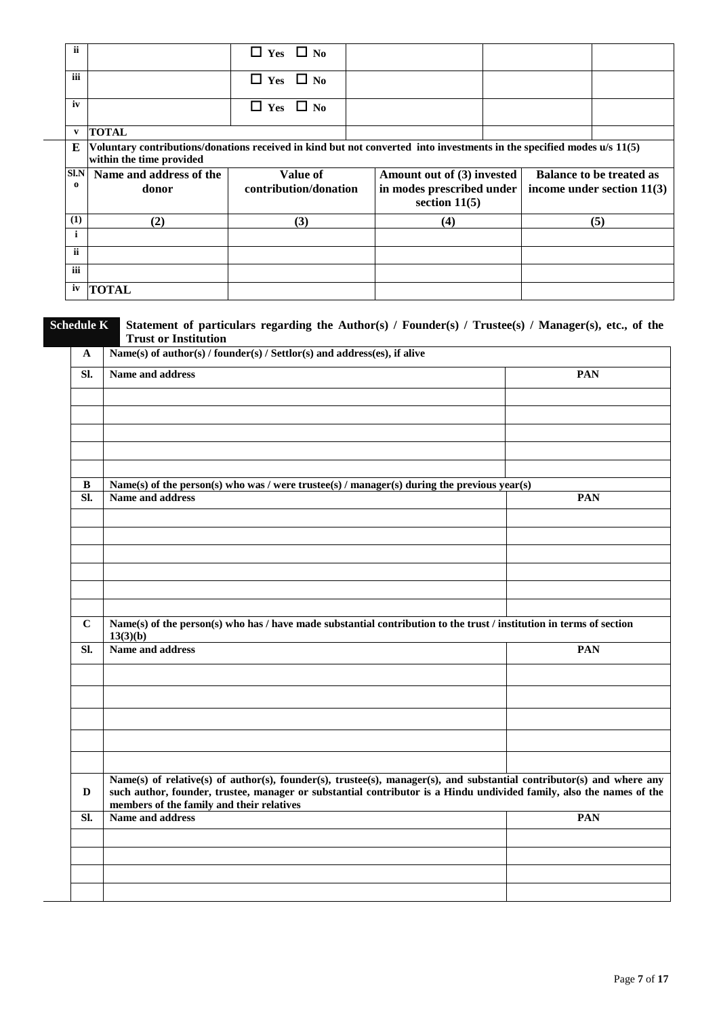| ii         |                                                                                                                                                    | $\Box$ Yes $\Box$ No  |  |                                              |  |                                 |
|------------|----------------------------------------------------------------------------------------------------------------------------------------------------|-----------------------|--|----------------------------------------------|--|---------------------------------|
| iii        |                                                                                                                                                    | $\Box$ Yes $\Box$ No  |  |                                              |  |                                 |
| iv         |                                                                                                                                                    | $\Box$ Yes $\Box$ No  |  |                                              |  |                                 |
| v          | <b>TOTAL</b>                                                                                                                                       |                       |  |                                              |  |                                 |
| E          | Voluntary contributions/donations received in kind but not converted into investments in the specified modes u/s 11(5)<br>within the time provided |                       |  |                                              |  |                                 |
| Sl.N       | Name and address of the<br>Value of                                                                                                                |                       |  | Amount out of (3) invested                   |  | <b>Balance to be treated as</b> |
| $\Omega$   | donor                                                                                                                                              | contribution/donation |  | in modes prescribed under<br>section $11(5)$ |  | income under section $11(3)$    |
| (1)        | (2)                                                                                                                                                | (3)                   |  | (4)                                          |  | (5)                             |
| i          |                                                                                                                                                    |                       |  |                                              |  |                                 |
| ii         |                                                                                                                                                    |                       |  |                                              |  |                                 |
| <b>iii</b> |                                                                                                                                                    |                       |  |                                              |  |                                 |
| iv         | <b>TOTAL</b>                                                                                                                                       |                       |  |                                              |  |                                 |

 $\overline{\phantom{a}}$ 

### **Schedule K Statement of particulars regarding the Author(s) / Founder(s) / Trustee(s) / Manager(s), etc., of the Trust or Institution**

| $\mathbf{A}$           | Name(s) of author(s) / founder(s) / Settlor(s) and address(es), if alive                                                                                                                                                                                                                   |            |  |  |  |  |  |
|------------------------|--------------------------------------------------------------------------------------------------------------------------------------------------------------------------------------------------------------------------------------------------------------------------------------------|------------|--|--|--|--|--|
| SI.                    | Name and address                                                                                                                                                                                                                                                                           | <b>PAN</b> |  |  |  |  |  |
|                        |                                                                                                                                                                                                                                                                                            |            |  |  |  |  |  |
|                        |                                                                                                                                                                                                                                                                                            |            |  |  |  |  |  |
|                        |                                                                                                                                                                                                                                                                                            |            |  |  |  |  |  |
| $\, {\bf B}$           | Name(s) of the person(s) who was / were trustee(s) / manager(s) during the previous year(s)                                                                                                                                                                                                |            |  |  |  |  |  |
| $\overline{\text{SL}}$ | Name and address                                                                                                                                                                                                                                                                           | <b>PAN</b> |  |  |  |  |  |
|                        |                                                                                                                                                                                                                                                                                            |            |  |  |  |  |  |
|                        |                                                                                                                                                                                                                                                                                            |            |  |  |  |  |  |
|                        |                                                                                                                                                                                                                                                                                            |            |  |  |  |  |  |
|                        |                                                                                                                                                                                                                                                                                            |            |  |  |  |  |  |
|                        |                                                                                                                                                                                                                                                                                            |            |  |  |  |  |  |
| $\mathbf C$            | Name(s) of the person(s) who has / have made substantial contribution to the trust / institution in terms of section<br>13(3)(b)                                                                                                                                                           |            |  |  |  |  |  |
| SI.                    | Name and address                                                                                                                                                                                                                                                                           | <b>PAN</b> |  |  |  |  |  |
|                        |                                                                                                                                                                                                                                                                                            |            |  |  |  |  |  |
|                        |                                                                                                                                                                                                                                                                                            |            |  |  |  |  |  |
|                        |                                                                                                                                                                                                                                                                                            |            |  |  |  |  |  |
|                        |                                                                                                                                                                                                                                                                                            |            |  |  |  |  |  |
|                        |                                                                                                                                                                                                                                                                                            |            |  |  |  |  |  |
| D                      | Name(s) of relative(s) of author(s), founder(s), trustee(s), manager(s), and substantial contributor(s) and where any<br>such author, founder, trustee, manager or substantial contributor is a Hindu undivided family, also the names of the<br>members of the family and their relatives |            |  |  |  |  |  |
| SI.                    | Name and address                                                                                                                                                                                                                                                                           | PAN        |  |  |  |  |  |
|                        |                                                                                                                                                                                                                                                                                            |            |  |  |  |  |  |
|                        |                                                                                                                                                                                                                                                                                            |            |  |  |  |  |  |
|                        |                                                                                                                                                                                                                                                                                            |            |  |  |  |  |  |
|                        |                                                                                                                                                                                                                                                                                            |            |  |  |  |  |  |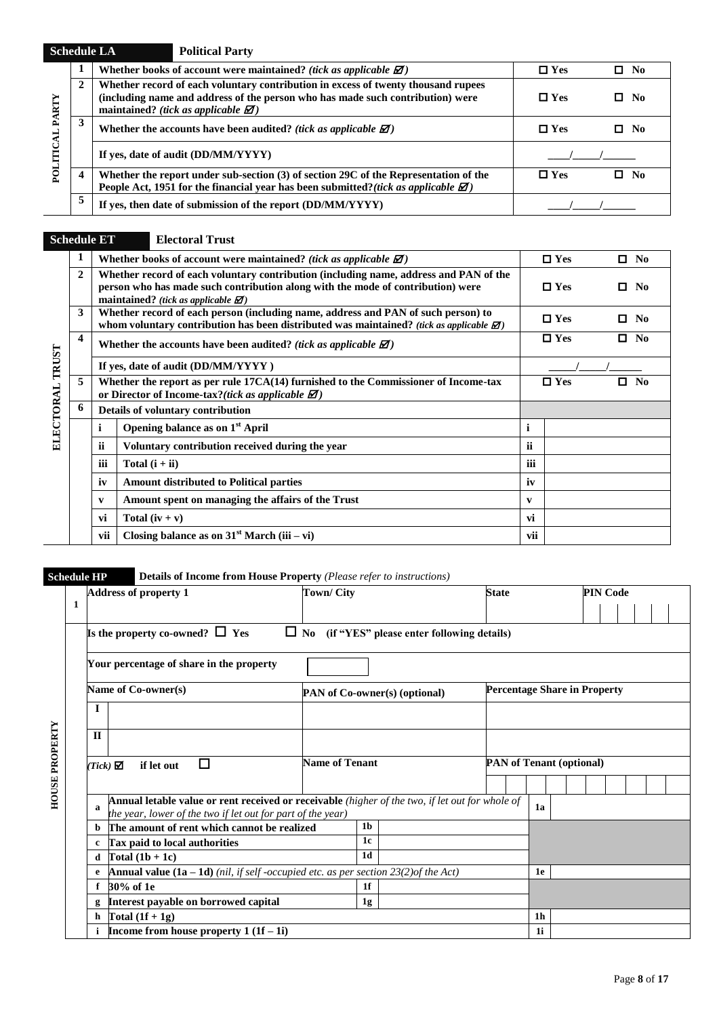| <b>Schedule LA</b> |              |                                                                                                                                                                                        | <b>Political Party</b>                                                                                                                                                                                                          |            |              |
|--------------------|--------------|----------------------------------------------------------------------------------------------------------------------------------------------------------------------------------------|---------------------------------------------------------------------------------------------------------------------------------------------------------------------------------------------------------------------------------|------------|--------------|
| ARTY               | л            |                                                                                                                                                                                        | Whether books of account were maintained? (tick as applicable $\mathbf{\mathcal{Z}}$ )                                                                                                                                          | $\Box$ Yes | $\square$ No |
|                    | $\mathbf{2}$ |                                                                                                                                                                                        | Whether record of each voluntary contribution in excess of twenty thousand rupees<br>(including name and address of the person who has made such contribution) were<br>maintained? (tick as applicable $\mathbf{\mathcal{D}}$ ) | $\Box$ Yes | No.<br>α.    |
|                    | 3            |                                                                                                                                                                                        | Whether the accounts have been audited? (tick as applicable $\mathbf{\mathcal{Z}}$ )                                                                                                                                            | $\Box$ Yes | $\Box$ No    |
|                    |              |                                                                                                                                                                                        | If yes, date of audit (DD/MM/YYYY)                                                                                                                                                                                              |            |              |
|                    | 4            | Whether the report under sub-section (3) of section 29C of the Representation of the<br>People Act, 1951 for the financial year has been submitted? (tick as applicable $\mathbb{Z}$ ) | $\Box$ Yes                                                                                                                                                                                                                      | No.<br>α.  |              |
|                    | 5            | If yes, then date of submission of the report (DD/MM/YYYY)                                                                                                                             |                                                                                                                                                                                                                                 |            |              |

**Schedule ET Electoral Trust**

|                  | 1              |                       | Whether books of account were maintained? (tick as applicable $\mathbf{\mathcal{Z}}$ )                                                                                                                                               |                  | $\Box$ Yes    |   | $\Box$ No      |
|------------------|----------------|-----------------------|--------------------------------------------------------------------------------------------------------------------------------------------------------------------------------------------------------------------------------------|------------------|---------------|---|----------------|
|                  | $\overline{2}$ |                       | Whether record of each voluntary contribution (including name, address and PAN of the<br>person who has made such contribution along with the mode of contribution) were<br>maintained? (tick as applicable $\mathbf{\mathcal{Z}}$ ) |                  | $\Box$ Yes    | 0 | N <sub>0</sub> |
|                  | 3              |                       | Whether record of each person (including name, address and PAN of such person) to<br>whom voluntary contribution has been distributed was maintained? (tick as applicable $\mathbb{Z}$ )                                             | $\Box$ Yes       |               |   | N <sub>0</sub> |
|                  | 4              |                       | Whether the accounts have been audited? (tick as applicable $\mathbf{\mathcal{Z}}$ )                                                                                                                                                 | $\Box$ Yes<br>П. |               |   | N <sub>0</sub> |
| TRUST            |                |                       | If yes, date of audit (DD/MM/YYYY)                                                                                                                                                                                                   |                  |               |   |                |
| <b>ELECTORAL</b> | 5              |                       | Whether the report as per rule 17CA(14) furnished to the Commissioner of Income-tax<br>or Director of Income-tax?(tick as applicable $\mathbf{\mathcal{Z}}$ )                                                                        |                  | $\square$ Yes | п | No             |
|                  | 6              |                       | Details of voluntary contribution                                                                                                                                                                                                    |                  |               |   |                |
|                  |                | i                     | Opening balance as on 1 <sup>st</sup> April                                                                                                                                                                                          | $\mathbf i$      |               |   |                |
|                  |                | $\bullet\bullet$<br>n | Voluntary contribution received during the year                                                                                                                                                                                      | <b>ii</b>        |               |   |                |
|                  |                | $\cdots$<br>ш         | Total $(i + ii)$                                                                                                                                                                                                                     | iii              |               |   |                |
|                  |                | iv                    | <b>Amount distributed to Political parties</b>                                                                                                                                                                                       | iv               |               |   |                |
|                  |                | $\mathbf{v}$          | Amount spent on managing the affairs of the Trust                                                                                                                                                                                    | V                |               |   |                |
|                  |                | vi                    | Total $(iv + v)$                                                                                                                                                                                                                     | vi               |               |   |                |
|                  |                | vii                   | Closing balance as on $31st March (iii - vi)$                                                                                                                                                                                        | vii              |               |   |                |

# **Schedule HP Details of Income from House Property** *(Please refer to instructions)*

|                 | <b>Address of property 1</b>                                                                                                                                   | <b>Town/City</b>      |                               | <b>State</b>                    |                                     | <b>PIN Code</b> |  |  |  |  |
|-----------------|----------------------------------------------------------------------------------------------------------------------------------------------------------------|-----------------------|-------------------------------|---------------------------------|-------------------------------------|-----------------|--|--|--|--|
|                 |                                                                                                                                                                |                       |                               |                                 |                                     |                 |  |  |  |  |
|                 | Is the property co-owned? $\Box$ Yes<br>$\Box$ No (if "YES" please enter following details)                                                                    |                       |                               |                                 |                                     |                 |  |  |  |  |
|                 | Your percentage of share in the property                                                                                                                       |                       |                               |                                 |                                     |                 |  |  |  |  |
|                 | Name of Co-owner(s)                                                                                                                                            |                       | PAN of Co-owner(s) (optional) |                                 | <b>Percentage Share in Property</b> |                 |  |  |  |  |
| T               |                                                                                                                                                                |                       |                               |                                 |                                     |                 |  |  |  |  |
| $\mathbf{I}$    |                                                                                                                                                                |                       |                               |                                 |                                     |                 |  |  |  |  |
| $(Tick)$ $\Box$ | П<br>if let out                                                                                                                                                | <b>Name of Tenant</b> |                               | <b>PAN</b> of Tenant (optional) |                                     |                 |  |  |  |  |
| a               | Annual letable value or rent received or receivable (higher of the two, if let out for whole of<br>the year, lower of the two if let out for part of the year) |                       |                               |                                 | 1a                                  |                 |  |  |  |  |
| b               | The amount of rent which cannot be realized                                                                                                                    | 1 <sub>b</sub>        |                               |                                 |                                     |                 |  |  |  |  |
| c               | Tax paid to local authorities                                                                                                                                  |                       | 1c                            |                                 |                                     |                 |  |  |  |  |
| d               | Total $(1b + 1c)$                                                                                                                                              |                       | 1 <sub>d</sub>                |                                 |                                     |                 |  |  |  |  |
| e               | Annual value $(1a - 1d)$ (nil, if self-occupied etc. as per section 23(2)of the Act)                                                                           |                       |                               |                                 | 1e                                  |                 |  |  |  |  |
|                 | 30% of 1e                                                                                                                                                      |                       | 1 <sub>f</sub>                |                                 |                                     |                 |  |  |  |  |
| g               | Interest payable on borrowed capital                                                                                                                           |                       | 1g                            |                                 |                                     |                 |  |  |  |  |
| h               | Total $(1f + 1g)$                                                                                                                                              |                       |                               |                                 | 1 <sub>h</sub>                      |                 |  |  |  |  |
|                 | Income from house property $1(1f-1i)$                                                                                                                          |                       |                               |                                 | 1i                                  |                 |  |  |  |  |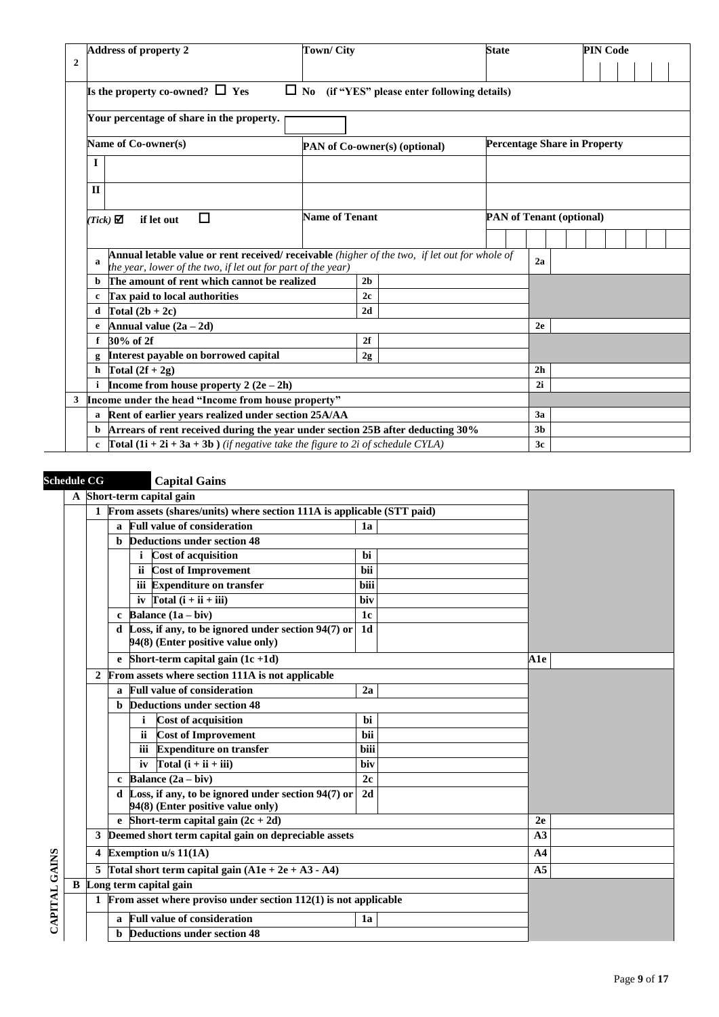|              | <b>Address of property 2</b>                                                                   |                                                                                                                                                               |                       | <b>Town/City</b><br><b>State</b>                                     |                                                     |                                 |                |  | <b>PIN Code</b> |  |  |  |  |  |
|--------------|------------------------------------------------------------------------------------------------|---------------------------------------------------------------------------------------------------------------------------------------------------------------|-----------------------|----------------------------------------------------------------------|-----------------------------------------------------|---------------------------------|----------------|--|-----------------|--|--|--|--|--|
| $\mathbf{2}$ |                                                                                                |                                                                                                                                                               |                       |                                                                      |                                                     |                                 |                |  |                 |  |  |  |  |  |
|              | Is the property co-owned? $\Box$ Yes                                                           |                                                                                                                                                               |                       |                                                                      | $\Box$ No (if "YES" please enter following details) |                                 |                |  |                 |  |  |  |  |  |
|              | Your percentage of share in the property.                                                      |                                                                                                                                                               |                       |                                                                      |                                                     |                                 |                |  |                 |  |  |  |  |  |
|              | Name of Co-owner(s)                                                                            |                                                                                                                                                               |                       | <b>Percentage Share in Property</b><br>PAN of Co-owner(s) (optional) |                                                     |                                 |                |  |                 |  |  |  |  |  |
|              | $\mathbf{I}$                                                                                   |                                                                                                                                                               |                       |                                                                      |                                                     |                                 |                |  |                 |  |  |  |  |  |
|              |                                                                                                |                                                                                                                                                               |                       |                                                                      |                                                     |                                 |                |  |                 |  |  |  |  |  |
|              | $\Pi$                                                                                          |                                                                                                                                                               |                       |                                                                      |                                                     |                                 |                |  |                 |  |  |  |  |  |
|              | if let out<br>$(Tick)$ $\Box$                                                                  | П                                                                                                                                                             | <b>Name of Tenant</b> |                                                                      |                                                     | <b>PAN of Tenant (optional)</b> |                |  |                 |  |  |  |  |  |
|              |                                                                                                |                                                                                                                                                               |                       |                                                                      |                                                     |                                 |                |  |                 |  |  |  |  |  |
|              | а                                                                                              | Annual letable value or rent received/ receivable (higher of the two, if let out for whole of<br>the year, lower of the two, if let out for part of the year) |                       |                                                                      |                                                     |                                 | 2a             |  |                 |  |  |  |  |  |
|              | <b>b</b> The amount of rent which cannot be realized                                           |                                                                                                                                                               |                       | 2 <sub>b</sub>                                                       |                                                     |                                 |                |  |                 |  |  |  |  |  |
|              | Tax paid to local authorities<br>$\mathbf{c}$                                                  |                                                                                                                                                               |                       | 2c                                                                   |                                                     |                                 |                |  |                 |  |  |  |  |  |
|              | Total $(2b + 2c)$<br>d                                                                         |                                                                                                                                                               |                       | 2d                                                                   |                                                     |                                 |                |  |                 |  |  |  |  |  |
|              | Annual value $(2a - 2d)$                                                                       |                                                                                                                                                               |                       |                                                                      |                                                     |                                 | 2e             |  |                 |  |  |  |  |  |
|              | 30% of 2f                                                                                      |                                                                                                                                                               |                       | 2f                                                                   |                                                     |                                 |                |  |                 |  |  |  |  |  |
|              |                                                                                                | Interest payable on borrowed capital                                                                                                                          |                       | 2g                                                                   |                                                     |                                 |                |  |                 |  |  |  |  |  |
|              | h Total $(2f + 2g)$                                                                            |                                                                                                                                                               |                       |                                                                      |                                                     |                                 | 2 <sub>h</sub> |  |                 |  |  |  |  |  |
|              | Income from house property $2(2e-2h)$                                                          |                                                                                                                                                               |                       |                                                                      |                                                     |                                 | 2i             |  |                 |  |  |  |  |  |
| 3            | Income under the head "Income from house property"                                             |                                                                                                                                                               |                       |                                                                      |                                                     |                                 |                |  |                 |  |  |  |  |  |
|              | $\mathbf{a}$                                                                                   | Rent of earlier years realized under section 25A/AA                                                                                                           |                       |                                                                      |                                                     |                                 | 3a             |  |                 |  |  |  |  |  |
|              | b Arrears of rent received during the year under section 25B after deducting 30%               |                                                                                                                                                               |                       |                                                                      |                                                     |                                 | 3 <sub>b</sub> |  |                 |  |  |  |  |  |
|              | c $\int \text{Total} (1i + 2i + 3a + 3b)$ (if negative take the figure to 2i of schedule CYLA) |                                                                                                                                                               |                       |                                                                      |                                                     |                                 | 3c             |  |                 |  |  |  |  |  |

# **Schedule CG Capital Gains**

|               | A Short-term capital gain                                |              |     |                                                                                             |                |  |                |  |
|---------------|----------------------------------------------------------|--------------|-----|---------------------------------------------------------------------------------------------|----------------|--|----------------|--|
|               |                                                          |              |     | 1 From assets (shares/units) where section 111A is applicable (STT paid)                    |                |  |                |  |
|               |                                                          | $\mathbf{a}$ |     | <b>Full value of consideration</b>                                                          | 1a             |  |                |  |
|               |                                                          |              |     | <b>b</b> Deductions under section 48                                                        |                |  |                |  |
|               |                                                          |              | i   | <b>Cost of acquisition</b>                                                                  | bi             |  |                |  |
|               |                                                          |              | ii. | <b>Cost of Improvement</b>                                                                  | bii            |  |                |  |
|               |                                                          |              |     | iii Expenditure on transfer                                                                 | biii           |  |                |  |
|               |                                                          |              |     | iv $\text{Total} \left( \mathbf{i} + \mathbf{ii} + \mathbf{iii} \right)$                    | biv            |  |                |  |
|               |                                                          |              |     | c Balance $(1a - biv)$                                                                      | 1 <sub>c</sub> |  |                |  |
|               |                                                          |              |     | d Loss, if any, to be ignored under section $94(7)$ or<br>94(8) (Enter positive value only) | 1 <sub>d</sub> |  |                |  |
|               |                                                          |              |     | Short-term capital gain $(1c + 1d)$                                                         |                |  | <b>A1e</b>     |  |
|               | 2 From assets where section 111A is not applicable       |              |     |                                                                                             |                |  |                |  |
|               |                                                          |              |     | a Full value of consideration                                                               | 2a             |  |                |  |
|               |                                                          |              |     | <b>b</b> Deductions under section 48                                                        |                |  |                |  |
|               |                                                          |              | i.  | <b>Cost of acquisition</b>                                                                  | hi             |  |                |  |
|               |                                                          |              | ii. | <b>Cost of Improvement</b>                                                                  | bii            |  |                |  |
|               |                                                          |              |     | iii Expenditure on transfer                                                                 | biii           |  |                |  |
|               |                                                          |              | iv  | Total $(i + ii + iii)$                                                                      | biv            |  |                |  |
|               |                                                          |              |     | c Balance $(2a - biv)$                                                                      | 2c             |  |                |  |
|               |                                                          |              |     | d Loss, if any, to be ignored under section $94(7)$ or<br>94(8) (Enter positive value only) | 2d             |  |                |  |
|               |                                                          |              |     | e Short-term capital gain $(2c + 2d)$                                                       |                |  | 2e             |  |
|               | 3                                                        |              |     | Deemed short term capital gain on depreciable assets                                        |                |  | A3             |  |
|               | 4                                                        |              |     | Exemption u/s 11(1A)                                                                        |                |  | A <sub>4</sub> |  |
|               | 5                                                        |              |     | Total short term capital gain $(A1e + 2e + A3 - A4)$                                        |                |  | A <sub>5</sub> |  |
|               |                                                          |              |     | <b>B</b> Long term capital gain                                                             |                |  |                |  |
| CAPITAL GAINS |                                                          |              |     | From asset where proviso under section $112(1)$ is not applicable                           |                |  |                |  |
|               | <b>Full value of consideration</b><br>1a<br>$\mathbf{a}$ |              |     |                                                                                             |                |  |                |  |
|               |                                                          |              |     | <b>Deductions under section 48</b>                                                          |                |  |                |  |
|               |                                                          |              |     |                                                                                             |                |  |                |  |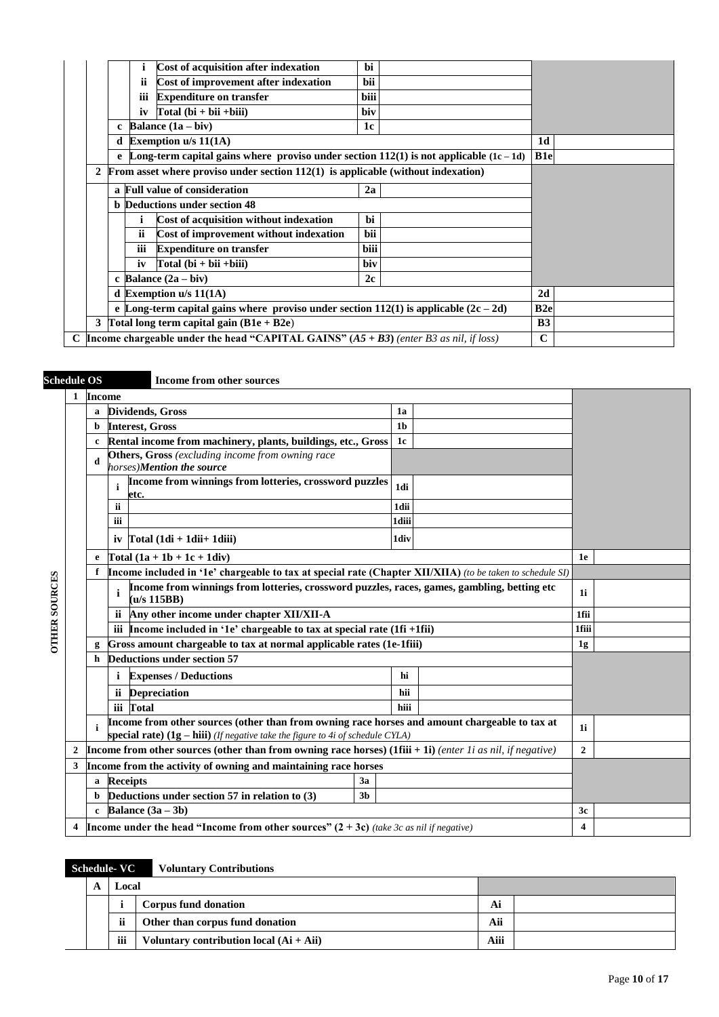|                                                                                           |                                                                                        | Cost of acquisition after indexation                                                       | bi         |  |                 |  |
|-------------------------------------------------------------------------------------------|----------------------------------------------------------------------------------------|--------------------------------------------------------------------------------------------|------------|--|-----------------|--|
|                                                                                           | ij                                                                                     | Cost of improvement after indexation                                                       | <b>bii</b> |  |                 |  |
|                                                                                           | ш                                                                                      | <b>Expenditure on transfer</b>                                                             | biii       |  |                 |  |
|                                                                                           | iv                                                                                     | $Total (bi + bii + biii)$                                                                  | biv        |  |                 |  |
|                                                                                           |                                                                                        | c Balance $(1a - biv)$                                                                     | 1c         |  |                 |  |
|                                                                                           | d Exemption $u/s 11(1A)$                                                               |                                                                                            |            |  |                 |  |
|                                                                                           |                                                                                        | e Long-term capital gains where proviso under section 112(1) is not applicable $(1c - 1d)$ |            |  | B <sub>1e</sub> |  |
| 2                                                                                         | From asset where proviso under section $112(1)$ is applicable (without indexation)     |                                                                                            |            |  |                 |  |
|                                                                                           | a Full value of consideration<br>2a                                                    |                                                                                            |            |  |                 |  |
|                                                                                           |                                                                                        | <b>b</b> Deductions under section 48                                                       |            |  |                 |  |
|                                                                                           |                                                                                        | Cost of acquisition without indexation                                                     | bi         |  |                 |  |
|                                                                                           | <b>ii</b>                                                                              | Cost of improvement without indexation                                                     | bii        |  |                 |  |
|                                                                                           | iii                                                                                    | <b>Expenditure on transfer</b>                                                             | biii       |  |                 |  |
|                                                                                           | iv                                                                                     | Total $(bi + bii + biii)$                                                                  | biv        |  |                 |  |
|                                                                                           | c Balance $(2a - biv)$<br>2c                                                           |                                                                                            |            |  |                 |  |
|                                                                                           | d Exemption $u/s 11(1A)$                                                               |                                                                                            |            |  | 2d              |  |
|                                                                                           | e Long-term capital gains where proviso under section 112(1) is applicable $(2c - 2d)$ |                                                                                            |            |  | B <sub>2e</sub> |  |
| 3 Total long term capital gain $(B1e + B2e)$                                              |                                                                                        |                                                                                            |            |  |                 |  |
| C Income chargeable under the head "CAPITAL GAINS" $(AS + B3)$ (enter B3 as nil, if loss) |                                                                                        |                                                                                            |            |  | $\mathbf C$     |  |

**Schedule OS Income from other sources**

|                      | 1 | <b>Income</b>                                                        |                                                                                                                                                                                   |                |      |       |  |
|----------------------|---|----------------------------------------------------------------------|-----------------------------------------------------------------------------------------------------------------------------------------------------------------------------------|----------------|------|-------|--|
|                      |   | a                                                                    | <b>Dividends</b> , Gross                                                                                                                                                          | 1a             |      |       |  |
|                      |   | b                                                                    | <b>Interest, Gross</b>                                                                                                                                                            | 1 <sub>b</sub> |      |       |  |
|                      |   | c                                                                    | Rental income from machinery, plants, buildings, etc., Gross                                                                                                                      | 1c             |      |       |  |
|                      |   | d                                                                    | Others, Gross (excluding income from owning race<br>horses)Mention the source                                                                                                     |                |      |       |  |
|                      |   |                                                                      | Income from winnings from lotteries, crossword puzzles<br>etc.                                                                                                                    | 1di            |      |       |  |
|                      |   |                                                                      | <b>ii</b>                                                                                                                                                                         | 1dii           |      |       |  |
|                      |   |                                                                      | iii                                                                                                                                                                               | 1diii          |      |       |  |
|                      |   |                                                                      | iv $\Gamma$ otal (1di + 1dii+ 1diii)                                                                                                                                              | 1div           |      |       |  |
|                      |   |                                                                      | $[Total (1a + 1b + 1c + 1div)]$                                                                                                                                                   | 1e             |      |       |  |
|                      |   | f.                                                                   | Income included in '1e' chargeable to tax at special rate (Chapter XII/XIIA) (to be taken to schedule SI)                                                                         |                |      |       |  |
| <b>OTHER SOURCES</b> |   |                                                                      | Income from winnings from lotteries, crossword puzzles, races, games, gambling, betting etc<br>i<br>(u/s 115BB)                                                                   | 1i             |      |       |  |
|                      |   |                                                                      | Any other income under chapter XII/XII-A<br>ii.                                                                                                                                   |                | 1fii |       |  |
|                      |   |                                                                      | iii Income included in '1e' chargeable to tax at special rate $(1fi + 1fii)$                                                                                                      |                |      | 1fiii |  |
|                      |   | Gross amount chargeable to tax at normal applicable rates (1e-1fiii) | 1g                                                                                                                                                                                |                |      |       |  |
|                      |   | h                                                                    | <b>Deductions under section 57</b>                                                                                                                                                |                |      |       |  |
|                      |   |                                                                      | <b>Expenses / Deductions</b><br>i.                                                                                                                                                | hi             |      |       |  |
|                      |   |                                                                      | <b>Depreciation</b><br>ii.                                                                                                                                                        | hii            |      |       |  |
|                      |   |                                                                      | iii Total                                                                                                                                                                         | hiii           |      |       |  |
|                      |   |                                                                      | Income from other sources (other than from owning race horses and amount chargeable to tax at<br>special rate) $(1g - hiii)$ (If negative take the figure to 4i of schedule CYLA) |                |      | 1i    |  |
|                      | 2 |                                                                      | <b>Income from other sources (other than from owning race horses)</b> (1fiii + 1i) (enter 1i as nil, if negative)                                                                 | $\overline{2}$ |      |       |  |
|                      | 3 |                                                                      | Income from the activity of owning and maintaining race horses                                                                                                                    |                |      |       |  |
|                      |   | <b>Receipts</b><br>3a<br>a                                           |                                                                                                                                                                                   |                |      |       |  |
|                      |   |                                                                      | Deductions under section 57 in relation to (3)<br>3 <sub>b</sub>                                                                                                                  |                |      |       |  |
|                      |   | Balance $(3a - 3b)$<br>$\mathbf{c}$                                  | 3c                                                                                                                                                                                |                |      |       |  |
|                      |   |                                                                      | <b>Income under the head "Income from other sources" <math>(2 + 3c)</math></b> (take 3c as nil if negative)                                                                       |                |      | 4     |  |

# **Schedule- VC Voluntary Contributions**

|  | Local |                                           |     |  |
|--|-------|-------------------------------------------|-----|--|
|  |       | Corpus fund donation                      | Ai  |  |
|  | ii    | Other than corpus fund donation           | Aii |  |
|  | iii   | Voluntary contribution local $(Ai + Aii)$ |     |  |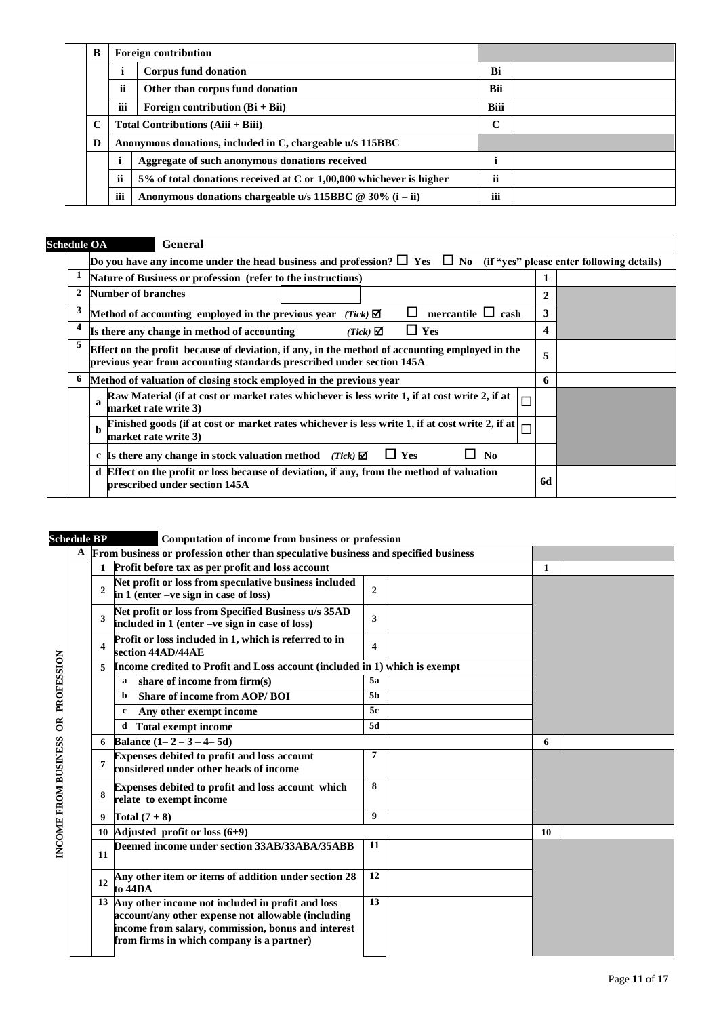| B |                                              | <b>Foreign contribution</b>                                                                                                       |            |  |
|---|----------------------------------------------|-----------------------------------------------------------------------------------------------------------------------------------|------------|--|
|   |                                              | Corpus fund donation                                                                                                              | Bi         |  |
|   | <i>ii</i><br>Other than corpus fund donation |                                                                                                                                   | <b>Bii</b> |  |
|   | iii<br>Foreign contribution $(Bi + Bi)$      |                                                                                                                                   |            |  |
| C |                                              | Total Contributions $(Aiii + Biii)$                                                                                               |            |  |
| D |                                              | Anonymous donations, included in C, chargeable u/s 115BBC                                                                         |            |  |
|   |                                              | Aggregate of such anonymous donations received<br><br>$5\%$ of total donations received at C or 1,00,000 whichever is higher<br>Ħ |            |  |
|   |                                              |                                                                                                                                   |            |  |
|   | iii                                          | Anonymous donations chargeable u/s 115BBC $@ 30\% (i - ii)$                                                                       | iii        |  |

| <b>Schedule OA</b> |   | General                                                                                                                                                                 |    |  |
|--------------------|---|-------------------------------------------------------------------------------------------------------------------------------------------------------------------------|----|--|
|                    |   | Do you have any income under the head business and profession? $\square$ Yes $\square$ No (if "yes" please enter following details)                                     |    |  |
|                    |   | Nature of Business or profession (refer to the instructions)                                                                                                            |    |  |
|                    | 2 | Number of branches                                                                                                                                                      | 2  |  |
|                    | 3 | mercantile $\Box$ cash<br>Method of accounting employed in the previous year<br>$(Tick)$ $\Box$                                                                         | 3  |  |
|                    | 4 | $\Box$ Yes<br>Is there any change in method of accounting<br>$(Tick)$ $\Box$                                                                                            | 4  |  |
|                    | 5 | Effect on the profit because of deviation, if any, in the method of accounting employed in the<br>previous year from accounting standards prescribed under section 145A | 5  |  |
|                    | 6 | Method of valuation of closing stock employed in the previous year                                                                                                      | 6  |  |
|                    |   | Raw Material (if at cost or market rates whichever is less write 1, if at cost write 2, if at<br>$\mathbf a$<br>market rate write 3)                                    |    |  |
|                    |   | Finished goods (if at cost or market rates whichever is less write 1, if at cost write 2, if at<br>$\mathbf{h}$<br>market rate write 3)                                 |    |  |
|                    |   | $\Box$ Yes<br>N <sub>0</sub><br><b>Is there any change in stock valuation method</b> (Tick) $\boxtimes$<br>c                                                            |    |  |
|                    |   | d Effect on the profit or loss because of deviation, if any, from the method of valuation<br>prescribed under section 145A                                              | 6d |  |
|                    |   |                                                                                                                                                                         |    |  |

### **Schedule BP Computation of income from business or profession**

|                      | scneaule Br  |              |                                                                                       | Computation of income from business or profession                                                                                                                                                            |                |  |    |  |
|----------------------|--------------|--------------|---------------------------------------------------------------------------------------|--------------------------------------------------------------------------------------------------------------------------------------------------------------------------------------------------------------|----------------|--|----|--|
|                      | $\mathbf{A}$ |              |                                                                                       | From business or profession other than speculative business and specified business                                                                                                                           |                |  |    |  |
|                      |              |              |                                                                                       | Profit before tax as per profit and loss account                                                                                                                                                             |                |  | 1  |  |
|                      |              | $\mathbf{2}$ |                                                                                       | Net profit or loss from speculative business included<br>in 1 (enter -ve sign in case of loss)                                                                                                               | $\mathbf{2}$   |  |    |  |
|                      |              | 3            |                                                                                       | Net profit or loss from Specified Business u/s 35AD<br>included in 1 (enter -ve sign in case of loss)                                                                                                        | 3              |  |    |  |
|                      |              | 4            |                                                                                       | Profit or loss included in 1, which is referred to in<br>section 44AD/44AE                                                                                                                                   | 4              |  |    |  |
| PROFESSION           |              | 5            | Income credited to Profit and Loss account (included in 1) which is exempt            |                                                                                                                                                                                                              |                |  |    |  |
|                      |              |              | a                                                                                     | share of income from firm(s)                                                                                                                                                                                 | 5a             |  |    |  |
|                      |              |              | b                                                                                     | Share of income from AOP/BOI                                                                                                                                                                                 | 5 <sub>b</sub> |  |    |  |
|                      |              |              | c                                                                                     | Any other exempt income                                                                                                                                                                                      | 5c             |  |    |  |
| $\tilde{c}$          |              |              |                                                                                       | d Total exempt income                                                                                                                                                                                        | 5d             |  |    |  |
|                      |              | 6            |                                                                                       | Balance $(1 - 2 - 3 - 4 - 5d)$                                                                                                                                                                               |                |  | 6  |  |
| INCOME FROM BUSINESS |              | 7            | Expenses debited to profit and loss account<br>considered under other heads of income |                                                                                                                                                                                                              | 7              |  |    |  |
|                      |              | 8            |                                                                                       | Expenses debited to profit and loss account which<br>relate to exempt income                                                                                                                                 | 8              |  |    |  |
|                      |              | 9            |                                                                                       | Total $(7+8)$                                                                                                                                                                                                | 9              |  |    |  |
|                      |              |              |                                                                                       | 10 Adjusted profit or loss $(6+9)$                                                                                                                                                                           |                |  | 10 |  |
|                      |              | 11           |                                                                                       | Deemed income under section 33AB/33ABA/35ABB                                                                                                                                                                 | 11             |  |    |  |
|                      |              | 12           | Any other item or items of addition under section 28<br>to 44DA                       |                                                                                                                                                                                                              | 12             |  |    |  |
|                      |              |              |                                                                                       | 13 Any other income not included in profit and loss<br>account/any other expense not allowable (including<br>income from salary, commission, bonus and interest<br>from firms in which company is a partner) | 13             |  |    |  |
|                      |              |              |                                                                                       |                                                                                                                                                                                                              |                |  |    |  |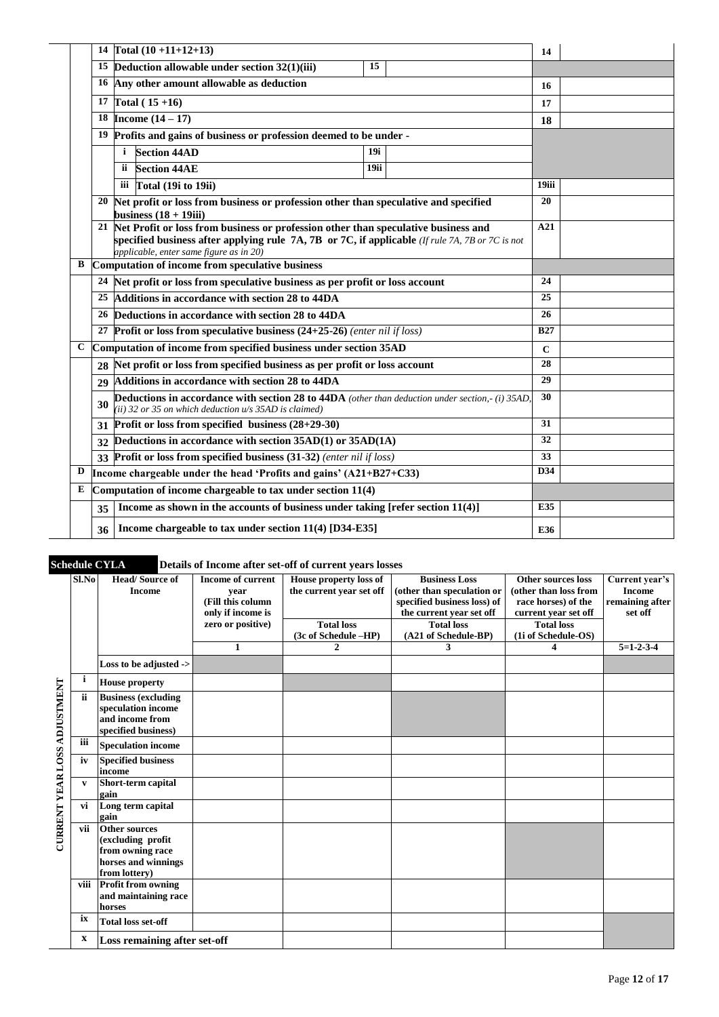|   |                 | 14 Total $(10 + 11 + 12 + 13)$                                                                                                                                                                                                      |      | 14          |  |
|---|-----------------|-------------------------------------------------------------------------------------------------------------------------------------------------------------------------------------------------------------------------------------|------|-------------|--|
|   |                 | 15 Deduction allowable under section 32(1)(iii)                                                                                                                                                                                     | 15   |             |  |
|   |                 | 16 Any other amount allowable as deduction                                                                                                                                                                                          |      |             |  |
|   |                 |                                                                                                                                                                                                                                     |      | 16          |  |
|   |                 | 17 Total $(15+16)$                                                                                                                                                                                                                  |      | 17          |  |
|   |                 | 18 <b>Income</b> $(14 - 17)$                                                                                                                                                                                                        |      | 18          |  |
|   |                 | <sup>19</sup> Profits and gains of business or profession deemed to be under -                                                                                                                                                      |      |             |  |
|   |                 | <b>Section 44AD</b><br>i.                                                                                                                                                                                                           | 19i  |             |  |
|   |                 | <b>Section 44AE</b><br>ii.                                                                                                                                                                                                          | 19ii |             |  |
|   |                 | iii Total (19i to 19ii)                                                                                                                                                                                                             |      | 19iii       |  |
|   |                 | 20 Net profit or loss from business or profession other than speculative and specified<br>business $(18 + 19)$ ii)                                                                                                                  |      | 20          |  |
|   |                 | 21 Net Profit or loss from business or profession other than speculative business and<br>specified business after applying rule 7A, 7B or 7C, if applicable (If rule 7A, 7B or 7C is not<br>applicable, enter same figure as in 20) |      | A21         |  |
| В |                 | Computation of income from speculative business                                                                                                                                                                                     |      |             |  |
|   |                 | 24 Net profit or loss from speculative business as per profit or loss account                                                                                                                                                       | 24   |             |  |
|   |                 | <sup>25</sup> Additions in accordance with section 28 to 44DA                                                                                                                                                                       | 25   |             |  |
|   |                 | 26 Deductions in accordance with section 28 to 44DA                                                                                                                                                                                 |      | 26          |  |
|   |                 | 27 Profit or loss from speculative business $(24+25-26)$ (enter nil if loss)                                                                                                                                                        |      | <b>B27</b>  |  |
| C |                 | Computation of income from specified business under section 35AD                                                                                                                                                                    |      | $\mathbf C$ |  |
|   |                 | 28 Net profit or loss from specified business as per profit or loss account                                                                                                                                                         |      | 28          |  |
|   | 29              | Additions in accordance with section 28 to 44DA                                                                                                                                                                                     |      | 29          |  |
|   | 30              | <b>Deductions in accordance with section 28 to 44DA</b> (other than deduction under section,-(i) 35AD,<br>(ii) 32 or 35 on which deduction $u/s$ 35AD is claimed)                                                                   |      | 30          |  |
|   | 31              | Profit or loss from specified business $(28+29-30)$                                                                                                                                                                                 | 31   |             |  |
|   | 32              | Deductions in accordance with section 35AD(1) or 35AD(1A)                                                                                                                                                                           | 32   |             |  |
|   |                 | 33 Profit or loss from specified business (31-32) (enter nil if loss)                                                                                                                                                               | 33   |             |  |
| D |                 | Income chargeable under the head 'Profits and gains' $(A21+B27+C33)$                                                                                                                                                                | D34  |             |  |
| Е |                 | Computation of income chargeable to tax under section 11(4)                                                                                                                                                                         |      |             |  |
|   | 35 <sup>1</sup> | Income as shown in the accounts of business under taking [refer section 11(4)]                                                                                                                                                      |      | E35         |  |
|   | 36              | Income chargeable to tax under section 11(4) [D34-E35]                                                                                                                                                                              |      | E36         |  |
|   |                 |                                                                                                                                                                                                                                     |      |             |  |

| Sl.No        | <b>Head/Source of</b>                   | <b>Income of current</b>  | House property loss of   | <b>Business Loss</b>                                    | Other sources loss                           | Current year's             |
|--------------|-----------------------------------------|---------------------------|--------------------------|---------------------------------------------------------|----------------------------------------------|----------------------------|
|              | <b>Income</b>                           | year<br>(Fill this column | the current year set off | (other than speculation or                              | (other than loss from<br>race horses) of the | <b>Income</b>              |
|              |                                         | only if income is         |                          | specified business loss) of<br>the current year set off | current year set off                         | remaining after<br>set off |
|              |                                         | zero or positive)         | <b>Total loss</b>        | <b>Total loss</b>                                       | <b>Total loss</b>                            |                            |
|              |                                         |                           | (3c of Schedule -HP)     | (A21 of Schedule-BP)                                    | (1i of Schedule-OS)                          |                            |
|              |                                         | $\mathbf{1}$              | $\mathbf{2}$             | 3                                                       | 4                                            | $5=1-2-3-4$                |
|              | Loss to be adjusted ->                  |                           |                          |                                                         |                                              |                            |
| i            | <b>House property</b>                   |                           |                          |                                                         |                                              |                            |
| ii           | <b>Business (excluding</b>              |                           |                          |                                                         |                                              |                            |
|              | speculation income                      |                           |                          |                                                         |                                              |                            |
|              | and income from<br>specified business)  |                           |                          |                                                         |                                              |                            |
| iii          | <b>Speculation income</b>               |                           |                          |                                                         |                                              |                            |
| iv           | <b>Specified business</b>               |                           |                          |                                                         |                                              |                            |
|              | income                                  |                           |                          |                                                         |                                              |                            |
| $\mathbf{v}$ | Short-term capital<br>gain              |                           |                          |                                                         |                                              |                            |
| vi           | Long term capital                       |                           |                          |                                                         |                                              |                            |
|              | gain                                    |                           |                          |                                                         |                                              |                            |
| vii          | <b>Other sources</b>                    |                           |                          |                                                         |                                              |                            |
|              | (excluding profit                       |                           |                          |                                                         |                                              |                            |
|              | from owning race<br>horses and winnings |                           |                          |                                                         |                                              |                            |
|              | from lottery)                           |                           |                          |                                                         |                                              |                            |
|              | viii Profit from owning                 |                           |                          |                                                         |                                              |                            |
|              | and maintaining race                    |                           |                          |                                                         |                                              |                            |
|              | horses                                  |                           |                          |                                                         |                                              |                            |
| ix           | <b>Total loss set-off</b>               |                           |                          |                                                         |                                              |                            |
| X            | Loss remaining after set-off            |                           |                          |                                                         |                                              |                            |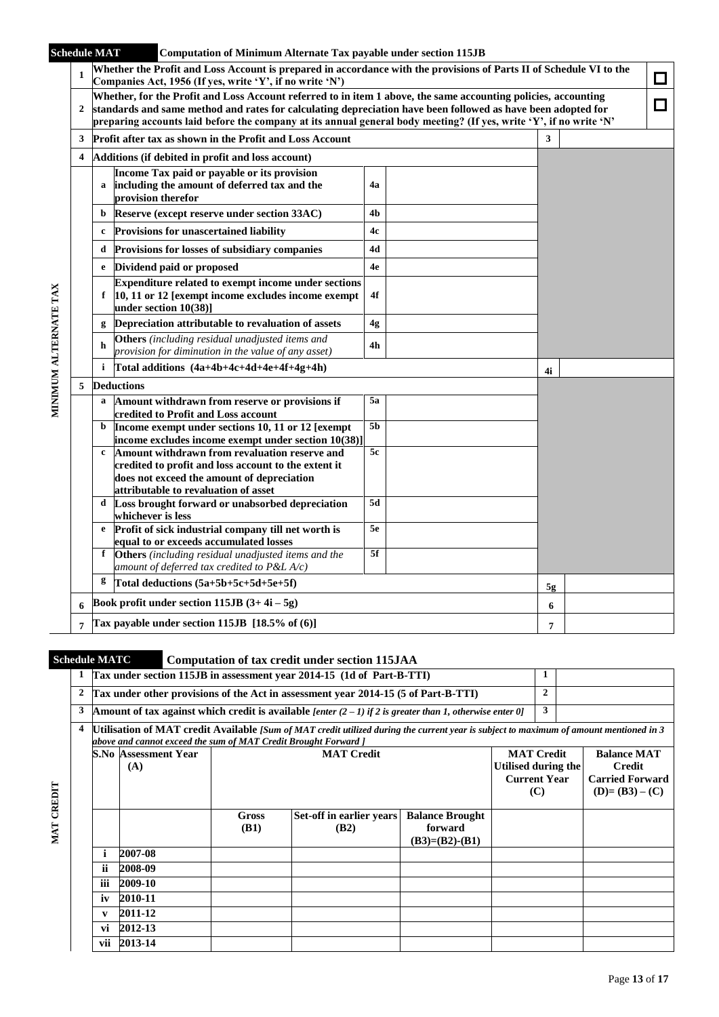| Whether the Profit and Loss Account is prepared in accordance with the provisions of Parts II of Schedule VI to the<br>$\mathbf{1}$<br>□<br>Companies Act, 1956 (If yes, write 'Y', if no write 'N')<br>Whether, for the Profit and Loss Account referred to in item 1 above, the same accounting policies, accounting<br>I I<br>standards and same method and rates for calculating depreciation have been followed as have been adopted for<br>$\overline{2}$<br>preparing accounts laid before the company at its annual general body meeting? (If yes, write 'Y', if no write 'N'<br>3<br>Profit after tax as shown in the Profit and Loss Account<br>3<br>4<br>Additions (if debited in profit and loss account)<br>Income Tax paid or payable or its provision<br>including the amount of deferred tax and the<br>4a<br>a<br>provision therefor<br>4b<br>Reserve (except reserve under section 33AC)<br>b<br><b>Provisions for unascertained liability</b><br>4c<br>c<br>Provisions for losses of subsidiary companies<br>4d<br>d<br>Dividend paid or proposed<br>4e<br>e<br><b>Expenditure related to exempt income under sections</b><br>MINIMUM ALTERNATE TAX<br>10, 11 or 12 [exempt income excludes income exempt<br>4f<br>f<br>under section 10(38)]<br>Depreciation attributable to revaluation of assets<br>4g<br>g<br>Others (including residual unadjusted items and<br>h<br>4h<br>provision for diminution in the value of any asset)<br>Total additions (4a+4b+4c+4d+4e+4f+4g+4h)<br>i<br>4i<br><b>Deductions</b><br>5<br>Amount withdrawn from reserve or provisions if<br>5a<br>a<br>credited to Profit and Loss account<br>5 <sub>b</sub><br>Income exempt under sections 10, 11 or 12 [exempt<br>b<br>income excludes income exempt under section 10(38)]<br>5c<br>Amount withdrawn from revaluation reserve and<br>$\mathbf c$<br>credited to profit and loss account to the extent it<br>does not exceed the amount of depreciation<br>attributable to revaluation of asset<br>5d<br>Loss brought forward or unabsorbed depreciation<br>d<br>whichever is less<br>5e<br>Profit of sick industrial company till net worth is<br>e<br>equal to or exceeds accumulated losses<br>5f<br><b>Others</b> (including residual unadjusted items and the<br>f<br>amount of deferred tax credited to $P\&L A/c$ )<br>g<br>Total deductions (5a+5b+5c+5d+5e+5f)<br>5g<br>Book profit under section 115JB $(3+4i-5g)$<br>6<br>6<br>Tax payable under section 115JB $[18.5\% \text{ of } (6)]$<br>7<br>7 |  | <b>Schedule MAT</b> | <b>Computation of Minimum Alternate Tax payable under section 115JB</b> |  |  |  |
|--------------------------------------------------------------------------------------------------------------------------------------------------------------------------------------------------------------------------------------------------------------------------------------------------------------------------------------------------------------------------------------------------------------------------------------------------------------------------------------------------------------------------------------------------------------------------------------------------------------------------------------------------------------------------------------------------------------------------------------------------------------------------------------------------------------------------------------------------------------------------------------------------------------------------------------------------------------------------------------------------------------------------------------------------------------------------------------------------------------------------------------------------------------------------------------------------------------------------------------------------------------------------------------------------------------------------------------------------------------------------------------------------------------------------------------------------------------------------------------------------------------------------------------------------------------------------------------------------------------------------------------------------------------------------------------------------------------------------------------------------------------------------------------------------------------------------------------------------------------------------------------------------------------------------------------------------------------------------------------------------------------------------------------------------------------------------------------------------------------------------------------------------------------------------------------------------------------------------------------------------------------------------------------------------------------------------------------------------------------------------------------------------------------------------------------------------------------------------------------------------------------------|--|---------------------|-------------------------------------------------------------------------|--|--|--|
|                                                                                                                                                                                                                                                                                                                                                                                                                                                                                                                                                                                                                                                                                                                                                                                                                                                                                                                                                                                                                                                                                                                                                                                                                                                                                                                                                                                                                                                                                                                                                                                                                                                                                                                                                                                                                                                                                                                                                                                                                                                                                                                                                                                                                                                                                                                                                                                                                                                                                                                    |  |                     |                                                                         |  |  |  |
|                                                                                                                                                                                                                                                                                                                                                                                                                                                                                                                                                                                                                                                                                                                                                                                                                                                                                                                                                                                                                                                                                                                                                                                                                                                                                                                                                                                                                                                                                                                                                                                                                                                                                                                                                                                                                                                                                                                                                                                                                                                                                                                                                                                                                                                                                                                                                                                                                                                                                                                    |  |                     |                                                                         |  |  |  |
|                                                                                                                                                                                                                                                                                                                                                                                                                                                                                                                                                                                                                                                                                                                                                                                                                                                                                                                                                                                                                                                                                                                                                                                                                                                                                                                                                                                                                                                                                                                                                                                                                                                                                                                                                                                                                                                                                                                                                                                                                                                                                                                                                                                                                                                                                                                                                                                                                                                                                                                    |  |                     |                                                                         |  |  |  |
|                                                                                                                                                                                                                                                                                                                                                                                                                                                                                                                                                                                                                                                                                                                                                                                                                                                                                                                                                                                                                                                                                                                                                                                                                                                                                                                                                                                                                                                                                                                                                                                                                                                                                                                                                                                                                                                                                                                                                                                                                                                                                                                                                                                                                                                                                                                                                                                                                                                                                                                    |  |                     |                                                                         |  |  |  |
|                                                                                                                                                                                                                                                                                                                                                                                                                                                                                                                                                                                                                                                                                                                                                                                                                                                                                                                                                                                                                                                                                                                                                                                                                                                                                                                                                                                                                                                                                                                                                                                                                                                                                                                                                                                                                                                                                                                                                                                                                                                                                                                                                                                                                                                                                                                                                                                                                                                                                                                    |  |                     |                                                                         |  |  |  |
|                                                                                                                                                                                                                                                                                                                                                                                                                                                                                                                                                                                                                                                                                                                                                                                                                                                                                                                                                                                                                                                                                                                                                                                                                                                                                                                                                                                                                                                                                                                                                                                                                                                                                                                                                                                                                                                                                                                                                                                                                                                                                                                                                                                                                                                                                                                                                                                                                                                                                                                    |  |                     |                                                                         |  |  |  |
|                                                                                                                                                                                                                                                                                                                                                                                                                                                                                                                                                                                                                                                                                                                                                                                                                                                                                                                                                                                                                                                                                                                                                                                                                                                                                                                                                                                                                                                                                                                                                                                                                                                                                                                                                                                                                                                                                                                                                                                                                                                                                                                                                                                                                                                                                                                                                                                                                                                                                                                    |  |                     |                                                                         |  |  |  |
|                                                                                                                                                                                                                                                                                                                                                                                                                                                                                                                                                                                                                                                                                                                                                                                                                                                                                                                                                                                                                                                                                                                                                                                                                                                                                                                                                                                                                                                                                                                                                                                                                                                                                                                                                                                                                                                                                                                                                                                                                                                                                                                                                                                                                                                                                                                                                                                                                                                                                                                    |  |                     |                                                                         |  |  |  |
|                                                                                                                                                                                                                                                                                                                                                                                                                                                                                                                                                                                                                                                                                                                                                                                                                                                                                                                                                                                                                                                                                                                                                                                                                                                                                                                                                                                                                                                                                                                                                                                                                                                                                                                                                                                                                                                                                                                                                                                                                                                                                                                                                                                                                                                                                                                                                                                                                                                                                                                    |  |                     |                                                                         |  |  |  |
|                                                                                                                                                                                                                                                                                                                                                                                                                                                                                                                                                                                                                                                                                                                                                                                                                                                                                                                                                                                                                                                                                                                                                                                                                                                                                                                                                                                                                                                                                                                                                                                                                                                                                                                                                                                                                                                                                                                                                                                                                                                                                                                                                                                                                                                                                                                                                                                                                                                                                                                    |  |                     |                                                                         |  |  |  |
|                                                                                                                                                                                                                                                                                                                                                                                                                                                                                                                                                                                                                                                                                                                                                                                                                                                                                                                                                                                                                                                                                                                                                                                                                                                                                                                                                                                                                                                                                                                                                                                                                                                                                                                                                                                                                                                                                                                                                                                                                                                                                                                                                                                                                                                                                                                                                                                                                                                                                                                    |  |                     |                                                                         |  |  |  |
|                                                                                                                                                                                                                                                                                                                                                                                                                                                                                                                                                                                                                                                                                                                                                                                                                                                                                                                                                                                                                                                                                                                                                                                                                                                                                                                                                                                                                                                                                                                                                                                                                                                                                                                                                                                                                                                                                                                                                                                                                                                                                                                                                                                                                                                                                                                                                                                                                                                                                                                    |  |                     |                                                                         |  |  |  |
|                                                                                                                                                                                                                                                                                                                                                                                                                                                                                                                                                                                                                                                                                                                                                                                                                                                                                                                                                                                                                                                                                                                                                                                                                                                                                                                                                                                                                                                                                                                                                                                                                                                                                                                                                                                                                                                                                                                                                                                                                                                                                                                                                                                                                                                                                                                                                                                                                                                                                                                    |  |                     |                                                                         |  |  |  |
|                                                                                                                                                                                                                                                                                                                                                                                                                                                                                                                                                                                                                                                                                                                                                                                                                                                                                                                                                                                                                                                                                                                                                                                                                                                                                                                                                                                                                                                                                                                                                                                                                                                                                                                                                                                                                                                                                                                                                                                                                                                                                                                                                                                                                                                                                                                                                                                                                                                                                                                    |  |                     |                                                                         |  |  |  |
|                                                                                                                                                                                                                                                                                                                                                                                                                                                                                                                                                                                                                                                                                                                                                                                                                                                                                                                                                                                                                                                                                                                                                                                                                                                                                                                                                                                                                                                                                                                                                                                                                                                                                                                                                                                                                                                                                                                                                                                                                                                                                                                                                                                                                                                                                                                                                                                                                                                                                                                    |  |                     |                                                                         |  |  |  |
|                                                                                                                                                                                                                                                                                                                                                                                                                                                                                                                                                                                                                                                                                                                                                                                                                                                                                                                                                                                                                                                                                                                                                                                                                                                                                                                                                                                                                                                                                                                                                                                                                                                                                                                                                                                                                                                                                                                                                                                                                                                                                                                                                                                                                                                                                                                                                                                                                                                                                                                    |  |                     |                                                                         |  |  |  |
|                                                                                                                                                                                                                                                                                                                                                                                                                                                                                                                                                                                                                                                                                                                                                                                                                                                                                                                                                                                                                                                                                                                                                                                                                                                                                                                                                                                                                                                                                                                                                                                                                                                                                                                                                                                                                                                                                                                                                                                                                                                                                                                                                                                                                                                                                                                                                                                                                                                                                                                    |  |                     |                                                                         |  |  |  |
|                                                                                                                                                                                                                                                                                                                                                                                                                                                                                                                                                                                                                                                                                                                                                                                                                                                                                                                                                                                                                                                                                                                                                                                                                                                                                                                                                                                                                                                                                                                                                                                                                                                                                                                                                                                                                                                                                                                                                                                                                                                                                                                                                                                                                                                                                                                                                                                                                                                                                                                    |  |                     |                                                                         |  |  |  |
|                                                                                                                                                                                                                                                                                                                                                                                                                                                                                                                                                                                                                                                                                                                                                                                                                                                                                                                                                                                                                                                                                                                                                                                                                                                                                                                                                                                                                                                                                                                                                                                                                                                                                                                                                                                                                                                                                                                                                                                                                                                                                                                                                                                                                                                                                                                                                                                                                                                                                                                    |  |                     |                                                                         |  |  |  |
|                                                                                                                                                                                                                                                                                                                                                                                                                                                                                                                                                                                                                                                                                                                                                                                                                                                                                                                                                                                                                                                                                                                                                                                                                                                                                                                                                                                                                                                                                                                                                                                                                                                                                                                                                                                                                                                                                                                                                                                                                                                                                                                                                                                                                                                                                                                                                                                                                                                                                                                    |  |                     |                                                                         |  |  |  |
|                                                                                                                                                                                                                                                                                                                                                                                                                                                                                                                                                                                                                                                                                                                                                                                                                                                                                                                                                                                                                                                                                                                                                                                                                                                                                                                                                                                                                                                                                                                                                                                                                                                                                                                                                                                                                                                                                                                                                                                                                                                                                                                                                                                                                                                                                                                                                                                                                                                                                                                    |  |                     |                                                                         |  |  |  |
|                                                                                                                                                                                                                                                                                                                                                                                                                                                                                                                                                                                                                                                                                                                                                                                                                                                                                                                                                                                                                                                                                                                                                                                                                                                                                                                                                                                                                                                                                                                                                                                                                                                                                                                                                                                                                                                                                                                                                                                                                                                                                                                                                                                                                                                                                                                                                                                                                                                                                                                    |  |                     |                                                                         |  |  |  |
|                                                                                                                                                                                                                                                                                                                                                                                                                                                                                                                                                                                                                                                                                                                                                                                                                                                                                                                                                                                                                                                                                                                                                                                                                                                                                                                                                                                                                                                                                                                                                                                                                                                                                                                                                                                                                                                                                                                                                                                                                                                                                                                                                                                                                                                                                                                                                                                                                                                                                                                    |  |                     |                                                                         |  |  |  |

# **Schedule MATC Computation of tax credit under section 115JAA**

|                |                |                                                                 |                                                                 | Tax under section 115JB in assessment year 2014-15 (1d of Part-B-TTI)                                                                  |                                                       |                                                                          | 1            |  |  |
|----------------|----------------|-----------------------------------------------------------------|-----------------------------------------------------------------|----------------------------------------------------------------------------------------------------------------------------------------|-------------------------------------------------------|--------------------------------------------------------------------------|--------------|--|--|
| $\overline{2}$ |                |                                                                 |                                                                 | Tax under other provisions of the Act in assessment year 2014-15 (5 of Part-B-TTI)                                                     |                                                       |                                                                          | $\mathbf{2}$ |  |  |
| 3              |                |                                                                 |                                                                 | Amount of tax against which credit is available [enter $(2 – 1)$ if 2 is greater than 1, otherwise enter 0]                            |                                                       |                                                                          | 3            |  |  |
| 4              |                | above and cannot exceed the sum of MAT Credit Brought Forward ] |                                                                 | Utilisation of MAT credit Available [Sum of MAT credit utilized during the current year is subject to maximum of amount mentioned in 3 |                                                       |                                                                          |              |  |  |
|                |                | S.No Assessment Year<br>(A)                                     | <b>MAT Credit</b><br>Utilised during the<br><b>Current Year</b> | (C)                                                                                                                                    |                                                       | <b>Balance MAT</b><br>Credit<br><b>Carried Forward</b><br>$(D)=(B3)-(C)$ |              |  |  |
|                |                |                                                                 | <b>Gross</b><br><b>(B1)</b>                                     | Set-off in earlier years<br>(B2)                                                                                                       | <b>Balance Brought</b><br>forward<br>$(B3)=(B2)-(B1)$ |                                                                          |              |  |  |
|                | Ť              | 2007-08                                                         |                                                                 |                                                                                                                                        |                                                       |                                                                          |              |  |  |
|                | <b>ii</b>      | 2008-09                                                         |                                                                 |                                                                                                                                        |                                                       |                                                                          |              |  |  |
|                | iii<br>2009-10 |                                                                 |                                                                 |                                                                                                                                        |                                                       |                                                                          |              |  |  |
|                | iv<br>2010-11  |                                                                 |                                                                 |                                                                                                                                        |                                                       |                                                                          |              |  |  |
|                | $\mathbf{v}$   | 2011-12                                                         |                                                                 |                                                                                                                                        |                                                       |                                                                          |              |  |  |
|                | 2012-13<br>vi  |                                                                 |                                                                 |                                                                                                                                        |                                                       |                                                                          |              |  |  |
|                | vii            | 2013-14                                                         |                                                                 |                                                                                                                                        |                                                       |                                                                          |              |  |  |

**MAT CREDIT**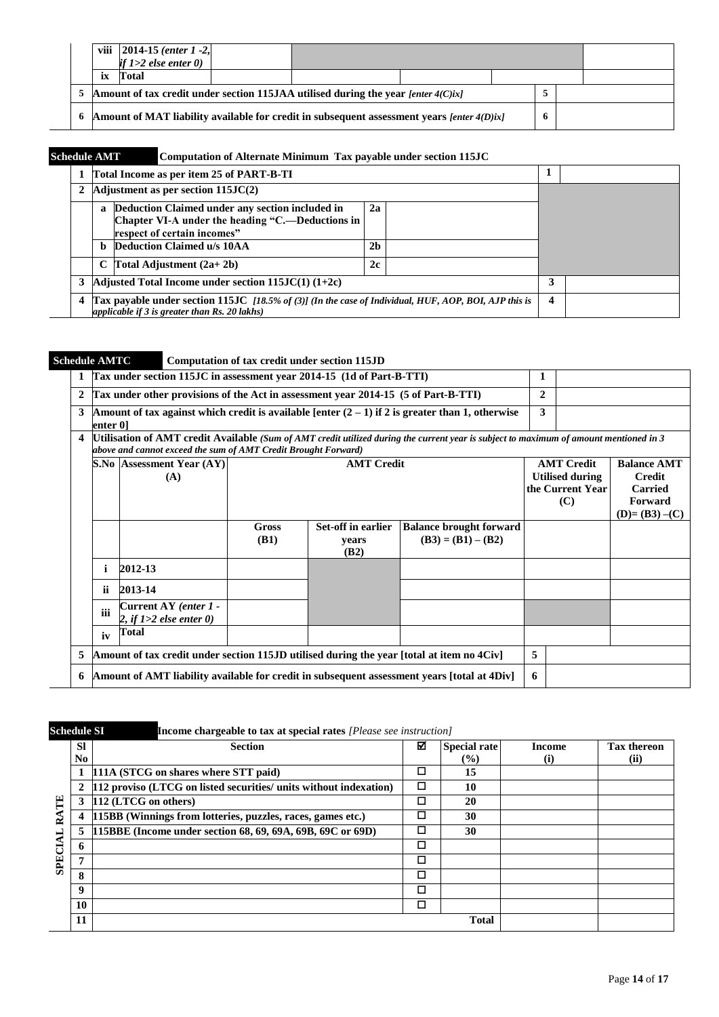|                                                                                                   | viii   2014-15 ( <i>enter 1 -2</i> ,<br>if $1>2$ else enter $0$ ) |  |  |  |  |  |  |  |  |  |
|---------------------------------------------------------------------------------------------------|-------------------------------------------------------------------|--|--|--|--|--|--|--|--|--|
|                                                                                                   | Total                                                             |  |  |  |  |  |  |  |  |  |
| 5 Amount of tax credit under section 115JAA utilised during the year [enter 4(C)ix]               |                                                                   |  |  |  |  |  |  |  |  |  |
| 6 Amount of MAT liability available for credit in subsequent assessment years [enter 4(D)ix]<br>6 |                                                                   |  |  |  |  |  |  |  |  |  |

# **Schedule AMT Computation of Alternate Minimum Tax payable under section 115JC**

|   | Total Income as per item 25 of PART-B-TI                                                                                                                    |                  |  |  |
|---|-------------------------------------------------------------------------------------------------------------------------------------------------------------|------------------|--|--|
|   | Adjustment as per section $115JC(2)$                                                                                                                        |                  |  |  |
|   | Deduction Claimed under any section included in<br>$\mathbf{a}$<br>Chapter VI-A under the heading "C.—Deductions in<br>respect of certain incomes"          | 2a               |  |  |
|   | <b>Deduction Claimed u/s 10AA</b><br>b.                                                                                                                     |                  |  |  |
|   | C Total Adjustment $(2a+2b)$                                                                                                                                |                  |  |  |
| 3 | Adjusted Total Income under section $115JC(1)$ $(1+2c)$                                                                                                     |                  |  |  |
| 4 | Tax payable under section 115JC $[18.5\% of (3)]$ (In the case of Individual, HUF, AOP, BOI, AJP this is<br>applicable if $3$ is greater than Rs. 20 lakhs) | $\boldsymbol{4}$ |  |  |

# **Schedule AMTC Computation of tax credit under section 115JD**

| $\mathbf{1}$   |          | Tax under section 115JC in assessment year 2014-15 (1d of Part-B-TTI)                                                        |                                                                                             |                   |                                                                                                                                         | 1       |                                            |                                 |
|----------------|----------|------------------------------------------------------------------------------------------------------------------------------|---------------------------------------------------------------------------------------------|-------------------|-----------------------------------------------------------------------------------------------------------------------------------------|---------|--------------------------------------------|---------------------------------|
| $\overline{2}$ |          | Tax under other provisions of the Act in assessment year 2014-15 (5 of Part-B-TTI)                                           |                                                                                             |                   |                                                                                                                                         | 2       |                                            |                                 |
| 3              | enter 01 |                                                                                                                              |                                                                                             |                   | Amount of tax against which credit is available [enter $(2 - 1)$ if 2 is greater than 1, otherwise                                      | 3       |                                            |                                 |
| $\overline{4}$ |          | above and cannot exceed the sum of AMT Credit Brought Forward)                                                               |                                                                                             |                   | [Utilisation of AMT credit Available (Sum of AMT credit utilized during the current year is subject to maximum of amount mentioned in 3 |         |                                            |                                 |
|                |          | <b>S.No Assessment Year (AY)</b>                                                                                             |                                                                                             | <b>AMT Credit</b> |                                                                                                                                         |         | <b>AMT Credit</b>                          | <b>Balance AMT</b>              |
|                |          | (A)                                                                                                                          |                                                                                             |                   |                                                                                                                                         |         | <b>Utilised during</b><br>the Current Year | <b>Credit</b><br><b>Carried</b> |
|                |          |                                                                                                                              |                                                                                             |                   | (C)                                                                                                                                     | Forward |                                            |                                 |
|                |          |                                                                                                                              |                                                                                             |                   | $(D)=(B3)-(C)$                                                                                                                          |         |                                            |                                 |
|                |          | Set-off in earlier<br><b>Balance brought forward</b><br><b>Gross</b><br>$(B3) = (B1) - (B2)$<br><b>(B1)</b><br>vears<br>(B2) |                                                                                             |                   |                                                                                                                                         |         |                                            |                                 |
|                | i        | 2012-13                                                                                                                      |                                                                                             |                   |                                                                                                                                         |         |                                            |                                 |
|                | ii.      | 2013-14                                                                                                                      |                                                                                             |                   |                                                                                                                                         |         |                                            |                                 |
|                | iii      | Current AY (enter 1 -<br>2, if $1>2$ else enter 0)                                                                           |                                                                                             |                   |                                                                                                                                         |         |                                            |                                 |
|                | iv       | <b>Total</b>                                                                                                                 |                                                                                             |                   |                                                                                                                                         |         |                                            |                                 |
| 5              |          | Amount of tax credit under section 115JD utilised during the year [total at item no 4Civ]                                    |                                                                                             | 5                 |                                                                                                                                         |         |                                            |                                 |
| 6              |          |                                                                                                                              | Amount of AMT liability available for credit in subsequent assessment years [total at 4Div] | 6                 |                                                                                                                                         |         |                                            |                                 |

| <b>Schedule SI</b> |                  | <b>Income chargeable to tax at special rates</b> [Please see instruction] |   |                                      |               |                     |
|--------------------|------------------|---------------------------------------------------------------------------|---|--------------------------------------|---------------|---------------------|
|                    | <b>SI</b><br>No. | <b>Section</b>                                                            | ☑ | <b>Special rate</b><br>$\frac{6}{2}$ | Income<br>(i) | Tax thereon<br>(ii) |
|                    |                  | 111A (STCG on shares where STT paid)                                      | □ | 15                                   |               |                     |
|                    | 2                | 112 proviso (LTCG on listed securities/ units without indexation)         | □ | 10                                   |               |                     |
| Ë<br>≃             |                  | 112 (LTCG on others)                                                      | □ | 20                                   |               |                     |
|                    |                  | 115BB (Winnings from lotteries, puzzles, races, games etc.)               | □ | 30                                   |               |                     |
|                    | 5                | [115BBE (Income under section 68, 69, 69A, 69B, 69C or 69D)               | ◻ | 30                                   |               |                     |
|                    |                  |                                                                           | □ |                                      |               |                     |
| <b>SPE</b>         | 7                |                                                                           | ◻ |                                      |               |                     |
|                    | 8                |                                                                           | □ |                                      |               |                     |
|                    | 9                |                                                                           | □ |                                      |               |                     |
|                    | 10               |                                                                           | □ |                                      |               |                     |
|                    | 11               |                                                                           |   | <b>Total</b>                         |               |                     |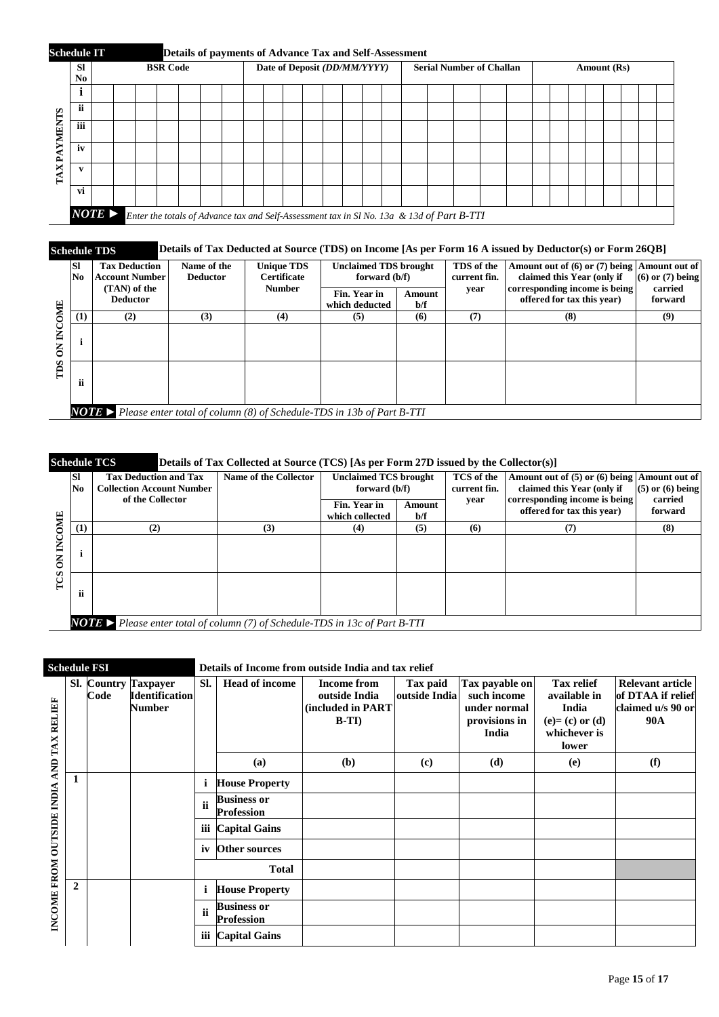

## **Schedule TDS Details of Tax Deducted at Source (TDS) on Income [As per Form 16 A issued by Deductor(s) or Form 26QB]**

|      | <b>SI</b><br>No.                                                                  | <b>Tax Deduction</b><br><b>Account Number</b> | Name of the<br><b>Deductor</b> | <b>Unique TDS</b><br><b>Certificate</b><br><b>Number</b> | <b>Unclaimed TDS brought</b><br>forward (b/f) |               | TDS of the<br>current fin. | Amount out of (6) or (7) being Amount out of<br>claimed this Year (only if | $(6)$ or $(7)$ being |  |  |
|------|-----------------------------------------------------------------------------------|-----------------------------------------------|--------------------------------|----------------------------------------------------------|-----------------------------------------------|---------------|----------------------------|----------------------------------------------------------------------------|----------------------|--|--|
| Ę    |                                                                                   | (TAN) of the<br><b>Deductor</b>               |                                |                                                          | Fin. Year in<br>which deducted                | Amount<br>b/f | vear                       | corresponding income is being<br>offered for tax this year)                | carried<br>forward   |  |  |
|      | (1)                                                                               | (2)                                           | (3)                            | (4)                                                      | (5)                                           | (6)           | (7)                        | (8)                                                                        | (9)                  |  |  |
| SCLI |                                                                                   |                                               |                                |                                                          |                                               |               |                            |                                                                            |                      |  |  |
|      | ii                                                                                |                                               |                                |                                                          |                                               |               |                            |                                                                            |                      |  |  |
|      | <b>NOTE</b> Please enter total of column (8) of Schedule-TDS in 13b of Part B-TTI |                                               |                                |                                                          |                                               |               |                            |                                                                            |                      |  |  |

|               |                  | <b>Schedule TCS</b>                                                               | Details of Tax Collected at Source (TCS) [As per Form 27D issued by the Collector(s)] |                                               |               |                            |                                                                            |                      |  |  |  |  |
|---------------|------------------|-----------------------------------------------------------------------------------|---------------------------------------------------------------------------------------|-----------------------------------------------|---------------|----------------------------|----------------------------------------------------------------------------|----------------------|--|--|--|--|
|               | <b>SI</b><br>No. | <b>Tax Deduction and Tax</b><br><b>Collection Account Number</b>                  | Name of the Collector                                                                 | <b>Unclaimed TCS brought</b><br>forward (b/f) |               | TCS of the<br>current fin. | Amount out of (5) or (6) being Amount out of<br>claimed this Year (only if | $(5)$ or $(6)$ being |  |  |  |  |
| <b>OMIE</b>   |                  | of the Collector                                                                  |                                                                                       | Fin. Year in<br>which collected               | Amount<br>b/f | year                       | corresponding income is being<br>offered for tax this year)                | carried<br>forward   |  |  |  |  |
|               | (1)              | (2)                                                                               | (3)                                                                                   | (4)                                           | (5)           | (6)                        | (7)                                                                        | (8)                  |  |  |  |  |
| C<br>E<br>rcs |                  |                                                                                   |                                                                                       |                                               |               |                            |                                                                            |                      |  |  |  |  |
|               | ii               |                                                                                   |                                                                                       |                                               |               |                            |                                                                            |                      |  |  |  |  |
|               |                  | <b>NOTE</b> Please enter total of column (7) of Schedule-TDS in 13c of Part B-TTI |                                                                                       |                                               |               |                            |                                                                            |                      |  |  |  |  |

## **Schedule FSI Details of Income from outside India and tax relief**

| AND TAX RELIEF<br>INCOME FROM OUTSIDE INDIA |              | Code | <b>Sl.</b> Country Taxpayer<br><b>Identification</b><br><b>Number</b> | SI. | <b>Head of income</b>                   | <b>Income from</b><br>outside India<br>(included in PART<br>$B-TI$ | Tax paid<br>outside India   | Tax payable on<br>such income<br>under normal<br>provisions in<br>India | <b>Tax relief</b><br>available in<br>India<br>$(e)=(c)$ or $(d)$<br>whichever is<br>lower | Relevant article<br>of DTAA if relief<br>claimed u/s 90 or<br><b>90A</b> |
|---------------------------------------------|--------------|------|-----------------------------------------------------------------------|-----|-----------------------------------------|--------------------------------------------------------------------|-----------------------------|-------------------------------------------------------------------------|-------------------------------------------------------------------------------------------|--------------------------------------------------------------------------|
|                                             |              |      |                                                                       |     | (a)                                     | (b)                                                                | $\left( \mathbf{c} \right)$ | (d)                                                                     | (e)                                                                                       | (f)                                                                      |
|                                             | 1            |      |                                                                       | i   | <b>House Property</b>                   |                                                                    |                             |                                                                         |                                                                                           |                                                                          |
|                                             |              |      |                                                                       | ii  | <b>Business or</b><br><b>Profession</b> |                                                                    |                             |                                                                         |                                                                                           |                                                                          |
|                                             |              |      |                                                                       | iii | <b>Capital Gains</b>                    |                                                                    |                             |                                                                         |                                                                                           |                                                                          |
|                                             |              |      |                                                                       | iv  | <b>Other sources</b>                    |                                                                    |                             |                                                                         |                                                                                           |                                                                          |
|                                             |              |      |                                                                       |     | <b>Total</b>                            |                                                                    |                             |                                                                         |                                                                                           |                                                                          |
|                                             | $\mathbf{2}$ |      |                                                                       | i   | <b>House Property</b>                   |                                                                    |                             |                                                                         |                                                                                           |                                                                          |
|                                             |              |      |                                                                       | ii  | <b>Business or</b><br><b>Profession</b> |                                                                    |                             |                                                                         |                                                                                           |                                                                          |
|                                             |              |      |                                                                       | iii | <b>Capital Gains</b>                    |                                                                    |                             |                                                                         |                                                                                           |                                                                          |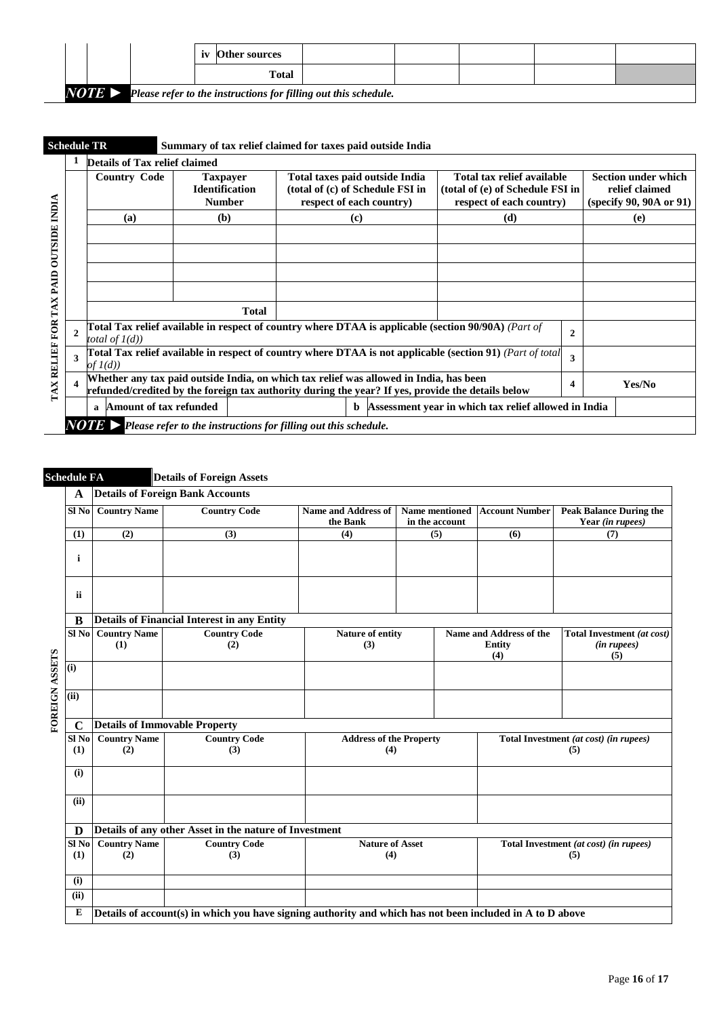|                       |  | <b>Other sources</b> |                                                                 |  |  |
|-----------------------|--|----------------------|-----------------------------------------------------------------|--|--|
|                       |  | <b>Total</b>         |                                                                 |  |  |
| $NOTE \triangleright$ |  |                      | Please refer to the instructions for filling out this schedule. |  |  |

|                                | Details of Tax relief claimed                                                                                                                                                                                                                                                    |                   |  |  |  |                                                                         |  |  |
|--------------------------------|----------------------------------------------------------------------------------------------------------------------------------------------------------------------------------------------------------------------------------------------------------------------------------|-------------------|--|--|--|-------------------------------------------------------------------------|--|--|
| NDIA                           | <b>Country Code</b><br>Total taxes paid outside India<br>Total tax relief available<br><b>Taxpayer</b><br><b>Identification</b><br>(total of (c) of Schedule FSI in<br>(total of (e) of Schedule FSI in<br><b>Number</b><br>respect of each country)<br>respect of each country) |                   |  |  |  | <b>Section under which</b><br>relief claimed<br>(specify 90, 90A or 91) |  |  |
|                                | (a)                                                                                                                                                                                                                                                                              | (b)<br>(d)<br>(c) |  |  |  | (e)                                                                     |  |  |
|                                |                                                                                                                                                                                                                                                                                  |                   |  |  |  |                                                                         |  |  |
| <b>OUTSIDE</b>                 |                                                                                                                                                                                                                                                                                  |                   |  |  |  |                                                                         |  |  |
|                                |                                                                                                                                                                                                                                                                                  |                   |  |  |  |                                                                         |  |  |
| PAID                           |                                                                                                                                                                                                                                                                                  |                   |  |  |  |                                                                         |  |  |
| ×                              |                                                                                                                                                                                                                                                                                  |                   |  |  |  |                                                                         |  |  |
| TA                             |                                                                                                                                                                                                                                                                                  |                   |  |  |  |                                                                         |  |  |
| TAX RELIEF FOR<br>$\mathbf{2}$ | Total Tax relief available in respect of country where DTAA is applicable (section $90/90$ A) (Part of<br>total of $I(d)$ )                                                                                                                                                      |                   |  |  |  |                                                                         |  |  |
| 3                              | Total Tax relief available in respect of country where DTAA is not applicable (section 91) (Part of total<br>of $I(d)$                                                                                                                                                           |                   |  |  |  |                                                                         |  |  |
|                                | Whether any tax paid outside India, on which tax relief was allowed in India, has been<br>refunded/credited by the foreign tax authority during the year? If yes, provide the details below                                                                                      |                   |  |  |  | Yes/No                                                                  |  |  |
|                                | <b>Amount of tax refunded</b><br>Assessment year in which tax relief allowed in India<br><sub>b</sub><br>$\mathbf a$                                                                                                                                                             |                   |  |  |  |                                                                         |  |  |

# **Schedule FA Details of Foreign Assets**

|                | A           | <b>Details of Foreign Bank Accounts</b>                |                                                                                                           |                                |                |                                        |                                |  |  |
|----------------|-------------|--------------------------------------------------------|-----------------------------------------------------------------------------------------------------------|--------------------------------|----------------|----------------------------------------|--------------------------------|--|--|
|                | Sl No       | <b>Country Name</b>                                    | <b>Country Code</b>                                                                                       | <b>Name and Address of</b>     | Name mentioned | <b>Account Number</b>                  | <b>Peak Balance During the</b> |  |  |
|                |             |                                                        |                                                                                                           | the Bank                       | in the account |                                        | Year (in rupees)               |  |  |
|                | (1)         | (2)                                                    | (3)                                                                                                       | (4)                            | (5)            | (6)                                    | (7)                            |  |  |
|                | i           |                                                        |                                                                                                           |                                |                |                                        |                                |  |  |
|                | ii          |                                                        |                                                                                                           |                                |                |                                        |                                |  |  |
|                | B           | <b>Details of Financial Interest in any Entity</b>     |                                                                                                           |                                |                |                                        |                                |  |  |
|                | Sl No       | <b>Country Name</b>                                    | <b>Country Code</b>                                                                                       | Nature of entity               |                | Name and Address of the                | Total Investment (at cost)     |  |  |
|                |             | (1)                                                    | (2)                                                                                                       | (3)                            |                | <b>Entity</b>                          | (in rupees)                    |  |  |
|                |             |                                                        |                                                                                                           |                                |                | (4)                                    | (5)                            |  |  |
| FOREIGN ASSETS | (i)         |                                                        |                                                                                                           |                                |                |                                        |                                |  |  |
|                | (iii)       |                                                        |                                                                                                           |                                |                |                                        |                                |  |  |
|                | $\mathbf C$ | <b>Details of Immovable Property</b>                   |                                                                                                           |                                |                |                                        |                                |  |  |
|                | $SI$ No     | <b>Country Name</b>                                    | <b>Country Code</b>                                                                                       | <b>Address of the Property</b> |                | Total Investment (at cost) (in rupees) |                                |  |  |
|                | (1)         | (2)                                                    | (3)                                                                                                       | (4)                            |                | (5)                                    |                                |  |  |
|                | (i)         |                                                        |                                                                                                           |                                |                |                                        |                                |  |  |
|                | (ii)        |                                                        |                                                                                                           |                                |                |                                        |                                |  |  |
|                | D           | Details of any other Asset in the nature of Investment |                                                                                                           |                                |                |                                        |                                |  |  |
|                | $SI$ No     | <b>Country Name</b>                                    | <b>Country Code</b><br><b>Nature of Asset</b>                                                             |                                |                | Total Investment (at cost) (in rupees) |                                |  |  |
|                | (1)         | (2)                                                    | (3)                                                                                                       | (4)                            |                | (5)                                    |                                |  |  |
|                | (i)         |                                                        |                                                                                                           |                                |                |                                        |                                |  |  |
|                | (ii)        |                                                        |                                                                                                           |                                |                |                                        |                                |  |  |
|                | ${\bf E}$   |                                                        | Details of account(s) in which you have signing authority and which has not been included in A to D above |                                |                |                                        |                                |  |  |
|                |             |                                                        |                                                                                                           |                                |                |                                        |                                |  |  |